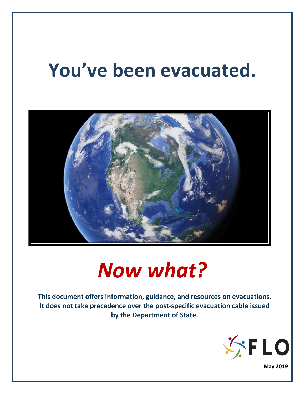# **You've been evacuated.**



# *Now what?*

**This document offers information, guidance, and resources on evacuations. It does not take precedence over the post-specific evacuation cable issued by the Department of State.**

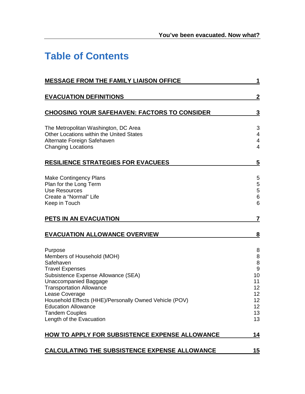## **Table of Contents**

| <b>MESSAGE FROM THE FAMILY LIAISON OFFICE</b>                                                                                                                                                                                                                                                                                                         | 1                                                                                 |
|-------------------------------------------------------------------------------------------------------------------------------------------------------------------------------------------------------------------------------------------------------------------------------------------------------------------------------------------------------|-----------------------------------------------------------------------------------|
| <b>EVACUATION DEFINITIONS</b>                                                                                                                                                                                                                                                                                                                         | $\overline{2}$                                                                    |
| <b>CHOOSING YOUR SAFEHAVEN: FACTORS TO CONSIDER</b>                                                                                                                                                                                                                                                                                                   | 3                                                                                 |
| The Metropolitan Washington, DC Area<br>Other Locations within the United States<br>Alternate Foreign Safehaven<br><b>Changing Locations</b>                                                                                                                                                                                                          | 3<br>4<br>4<br>$\overline{4}$                                                     |
| <b>RESILIENCE STRATEGIES FOR EVACUEES</b>                                                                                                                                                                                                                                                                                                             | $\overline{\mathbf{5}}$                                                           |
| <b>Make Contingency Plans</b><br>Plan for the Long Term<br><b>Use Resources</b><br>Create a "Normal" Life<br>Keep in Touch                                                                                                                                                                                                                            | 5<br>5<br>5<br>$\,6$<br>6                                                         |
| PETS IN AN EVACUATION                                                                                                                                                                                                                                                                                                                                 | 7                                                                                 |
| <b>EVACUATION ALLOWANCE OVERVIEW</b>                                                                                                                                                                                                                                                                                                                  | 8                                                                                 |
| Purpose<br>Members of Household (MOH)<br>Safehaven<br><b>Travel Expenses</b><br>Subsistence Expense Allowance (SEA)<br><b>Unaccompanied Baggage</b><br><b>Transportation Allowance</b><br>Lease Coverage<br>Household Effects (HHE)/Personally Owned Vehicle (POV)<br><b>Education Allowance</b><br><b>Tandem Couples</b><br>Length of the Evacuation | 8<br>8<br>8<br>$9\,$<br>10<br>11<br>12<br>12<br>12<br>12 <sup>°</sup><br>13<br>13 |
| HOW TO APPLY FOR SUBSISTENCE EXPENSE ALLOWANCE                                                                                                                                                                                                                                                                                                        | 14                                                                                |
| CALCULATING THE SUBSISTENCE EXPENSE ALLOWANCE                                                                                                                                                                                                                                                                                                         | <u> 15</u>                                                                        |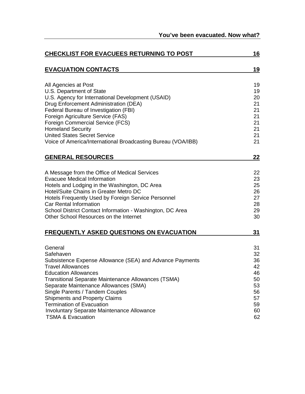| <b>CHECKLIST FOR EVACUEES RETURNING TO POST</b>                                                                                                                                                                                                                                                                                                                                                                                                 |                                                                      |  |  |
|-------------------------------------------------------------------------------------------------------------------------------------------------------------------------------------------------------------------------------------------------------------------------------------------------------------------------------------------------------------------------------------------------------------------------------------------------|----------------------------------------------------------------------|--|--|
| <b>EVACUATION CONTACTS</b>                                                                                                                                                                                                                                                                                                                                                                                                                      | 19                                                                   |  |  |
| All Agencies at Post<br>U.S. Department of State<br>U.S. Agency for International Development (USAID)<br>Drug Enforcement Administration (DEA)<br>Federal Bureau of Investigation (FBI)<br>Foreign Agriculture Service (FAS)<br>Foreign Commercial Service (FCS)<br><b>Homeland Security</b><br><b>United States Secret Service</b><br>Voice of America/International Broadcasting Bureau (VOA/IBB)                                             | 19<br>19<br>20<br>21<br>21<br>21<br>21<br>21<br>21<br>21             |  |  |
| <b>GENERAL RESOURCES</b>                                                                                                                                                                                                                                                                                                                                                                                                                        | 22                                                                   |  |  |
| A Message from the Office of Medical Services<br><b>Evacuee Medical Information</b><br>Hotels and Lodging in the Washington, DC Area<br>Hotel/Suite Chains in Greater Metro DC<br>Hotels Frequently Used by Foreign Service Personnel<br>Car Rental Information<br>School District Contact Information - Washington, DC Area<br>Other School Resources on the Internet                                                                          | 22<br>23<br>25<br>26<br>27<br>28<br>29<br>30                         |  |  |
| <b>FREQUENTLY ASKED QUESTIONS ON EVACUATION</b>                                                                                                                                                                                                                                                                                                                                                                                                 | 31                                                                   |  |  |
| General<br>Safehaven<br>Subsistence Expense Allowance (SEA) and Advance Payments<br><b>Travel Allowances</b><br><b>Education Allowances</b><br>Transitional Separate Maintenance Allowances (TSMA)<br>Separate Maintenance Allowances (SMA)<br>Single Parents / Tandem Couples<br><b>Shipments and Property Claims</b><br><b>Termination of Evacuation</b><br><b>Involuntary Separate Maintenance Allowance</b><br><b>TSMA &amp; Evacuation</b> | 31<br>32<br>36<br>42<br>46<br>50<br>53<br>56<br>57<br>59<br>60<br>62 |  |  |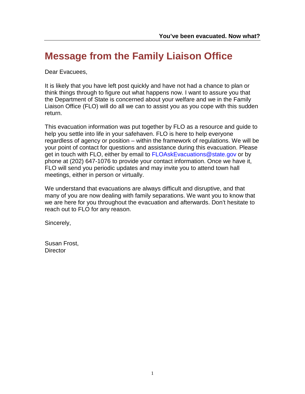## <span id="page-3-0"></span>**Message from the Family Liaison Office**

Dear Evacuees,

It is likely that you have left post quickly and have not had a chance to plan or think things through to figure out what happens now. I want to assure you that the Department of State is concerned about your welfare and we in the Family Liaison Office (FLO) will do all we can to assist you as you cope with this sudden return.

This evacuation information was put together by FLO as a resource and guide to help you settle into life in your safehaven. FLO is here to help everyone regardless of agency or position – within the framework of regulations. We will be your point of contact for questions and assistance during this evacuation. Please get in touch with FLO, either by email to [FLOAskEvacuations@state.gov](mailto:FLOAskEvacuations@state.gov) or by phone at (202) 647-1076 to provide your contact information. Once we have it, FLO will send you periodic updates and may invite you to attend town hall meetings, either in person or virtually.

We understand that evacuations are always difficult and disruptive, and that many of you are now dealing with family separations. We want you to know that we are here for you throughout the evacuation and afterwards. Don't hesitate to reach out to FLO for any reason.

Sincerely,

Susan Frost, **Director**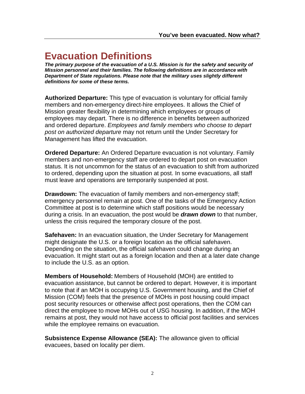## <span id="page-4-0"></span>**Evacuation Definitions**

*The primary purpose of the evacuation of a U.S. Mission is for the safety and security of Mission personnel and their families. The following definitions are in accordance with Department of State regulations. Please note that the military uses slightly different definitions for some of these terms.*

**Authorized Departure:** This type of evacuation is voluntary for official family members and non-emergency direct-hire employees. It allows the Chief of Mission greater flexibility in determining which employees or groups of employees may depart. There is no difference in benefits between authorized and ordered departure. *Employees and family members who choose to depart post on authorized departure* may not return until the Under Secretary for Management has lifted the evacuation.

**Ordered Departure:** An Ordered Departure evacuation is not voluntary. Family members and non-emergency staff are ordered to depart post on evacuation status. It is not uncommon for the status of an evacuation to shift from authorized to ordered, depending upon the situation at post. In some evacuations, all staff must leave and operations are temporarily suspended at post.

**Drawdown:** The evacuation of family members and non-emergency staff; emergency personnel remain at post. One of the tasks of the Emergency Action Committee at post is to determine which staff positions would be necessary during a crisis. In an evacuation, the post would be *drawn down* to that number, unless the crisis required the temporary closure of the post.

**Safehaven:** In an evacuation situation, the Under Secretary for Management might designate the U.S. or a foreign location as the official safehaven. Depending on the situation, the official safehaven could change during an evacuation. It might start out as a foreign location and then at a later date change to include the U.S. as an option.

**Members of Household:** Members of Household (MOH) are entitled to evacuation assistance, but cannot be ordered to depart. However, it is important to note that if an MOH is occupying U.S. Government housing, and the Chief of Mission (COM) feels that the presence of MOHs in post housing could impact post security resources or otherwise affect post operations, then the COM can direct the employee to move MOHs out of USG housing. In addition, if the MOH remains at post, they would not have access to official post facilities and services while the employee remains on evacuation.

**Subsistence Expense Allowance (SEA):** The allowance given to official evacuees, based on locality per diem.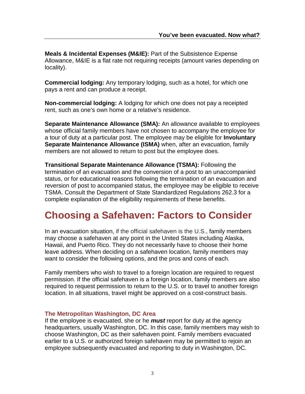**Meals & Incidental Expenses (M&IE):** Part of the Subsistence Expense Allowance, M&IE is a flat rate not requiring receipts (amount varies depending on locality).

**Commercial lodging:** Any temporary lodging, such as a hotel, for which one pays a rent and can produce a receipt.

**Non-commercial lodging:** A lodging for which one does not pay a receipted rent, such as one's own home or a relative's residence.

**Separate Maintenance Allowance (SMA):** An allowance available to employees whose official family members have not chosen to accompany the employee for a tour of duty at a particular post. The employee may be eligible for **Involuntary Separate Maintenance Allowance (ISMA)** when, after an evacuation, family members are not allowed to return to post but the employee does.

**Transitional Separate Maintenance Allowance (TSMA):** Following the termination of an evacuation and the conversion of a post to an unaccompanied status, or for educational reasons following the termination of an evacuation and reversion of post to accompanied status, the employee may be eligible to receive TSMA. Consult the Department of State Standardized Regulations 262.3 for a complete explanation of the eligibility requirements of these benefits.

## <span id="page-5-0"></span>**Choosing a Safehaven: Factors to Consider**

In an evacuation situation, if the official safehaven is the U.S., family members may choose a safehaven at any point in the United States including Alaska, Hawaii, and Puerto Rico. They do not necessarily have to choose their home leave address. When deciding on a safehaven location, family members may want to consider the following options, and the pros and cons of each.

Family members who wish to travel to a foreign location are required to request permission. If the official safehaven is a foreign location, family members are also required to request permission to return to the U.S. or to travel to another foreign location. In all situations, travel might be approved on a cost-construct basis.

#### <span id="page-5-1"></span>**The Metropolitan Washington, DC Area**

If the employee is evacuated, she or he *must* report for duty at the agency headquarters, usually Washington, DC. In this case, family members may wish to choose Washington, DC as their safehaven point. Family members evacuated earlier to a U.S. or authorized foreign safehaven may be permitted to rejoin an employee subsequently evacuated and reporting to duty in Washington, DC.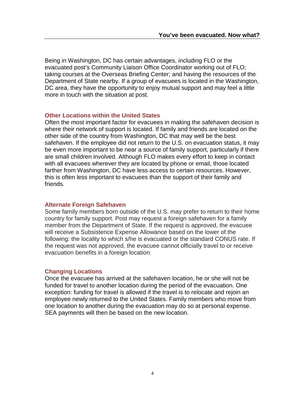Being in Washington, DC has certain advantages, including FLO or the evacuated post's Community Liaison Office Coordinator working out of FLO; taking courses at the Overseas Briefing Center; and having the resources of the Department of State nearby. If a group of evacuees is located in the Washington, DC area, they have the opportunity to enjoy mutual support and may feel a little more in touch with the situation at post.

#### <span id="page-6-0"></span>**Other Locations within the United States**

Often the most important factor for evacuees in making the safehaven decision is where their network of support is located. If family and friends are located on the other side of the country from Washington, DC that may well be the best safehaven. If the employee did not return to the U.S. on evacuation status, it may be even more important to be near a source of family support, particularly if there are small children involved. Although FLO makes every effort to keep in contact with all evacuees wherever they are located by phone or email, those located farther from Washington, DC have less access to certain resources. However, this is often less important to evacuees than the support of their family and friends.

#### <span id="page-6-1"></span>**Alternate Foreign Safehaven**

Some family members born outside of the U.S. may prefer to return to their home country for family support. Post may request a foreign safehaven for a family member from the Department of State. If the request is approved, the evacuee will receive a Subsistence Expense Allowance based on the lower of the following: the locality to which s/he is evacuated or the standard CONUS rate. If the request was not approved, the evacuee cannot officially travel to or receive evacuation benefits in a foreign location.

#### <span id="page-6-2"></span>**Changing Locations**

<span id="page-6-3"></span>Once the evacuee has arrived at the safehaven location, he or she will not be funded for travel to another location during the period of the evacuation. One exception: funding for travel is allowed if the travel is to relocate and rejoin an employee newly returned to the United States. Family members who move from one location to another during the evacuation may do so at personal expense. SEA payments will then be based on the new location.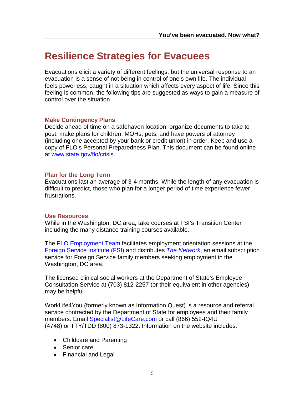### **Resilience Strategies for Evacuees**

Evacuations elicit a variety of different feelings, but the universal response to an evacuation is a sense of not being in control of one's own life. The individual feels powerless, caught in a situation which affects every aspect of life. Since this feeling is common, the following tips are suggested as ways to gain a measure of control over the situation.

#### <span id="page-7-0"></span>**Make Contingency Plans**

Decide ahead of time on a safehaven location, organize documents to take to post, make plans for children, MOHs, pets, and have powers of attorney (including one accepted by your bank or credit union) in order. Keep and use a copy of FLO's Personal Preparedness Plan. This document can be found online at [www.state.gov/flo/crisis.](http://www.state.gov/flo/crisis)

#### <span id="page-7-1"></span>**Plan for the Long Term**

Evacuations last an average of 3-4 months. While the length of any evacuation is difficult to predict, those who plan for a longer period of time experience fewer frustrations.

#### <span id="page-7-2"></span>**Use Resources**

While in the Washington, DC area, take courses at FSI's Transition Center including the many distance training courses available.

The [FLO Employment Team](http://www.state.gov/flo/employment) facilitates employment orientation sessions at the [Foreign Service Institute](https://www.state.gov/foreign-service-life-skills-training/) (FSI) and distributes *[The Network](https://www.state.gov/family-liaison-office/family-member-employment/family-member-employment-in-the-d-c-area/the-network/)*, an email subscription service for Foreign Service family members seeking employment in the Washington, DC area.

The licensed clinical social workers at the Department of State's Employee Consultation Service at (703) 812-2257 (or their equivalent in other agencies) may be helpful.

WorkLife4You (formerly known as Information Quest) is a resource and referral service contracted by the Department of State for employees and their family members. Email [Specialist@LifeCare.com](mailto:Specialist@LifeCare.com) or call (866) 552-IQ4U (4748) or TTY/TDD (800) 873-1322. Information on the website includes:

- Childcare and Parenting
- Senior care
- Financial and Legal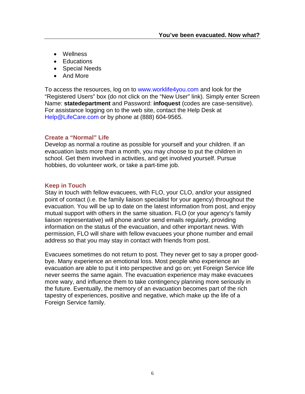- Wellness
- Educations
- Special Needs
- And More

To access the resources, log on to [www.worklife4you.com](http://www.worklife4you.com/) and look for the "Registered Users" box (do not click on the "New User" link). Simply enter Screen Name: **statedepartment** and Password: **infoquest** (codes are case-sensitive). For assistance logging on to the web site, contact the Help Desk at [Help@LifeCare.com](mailto:Help@LifeCare.com) or by phone at (888) 604-9565.

#### <span id="page-8-0"></span>**Create a "Normal" Life**

Develop as normal a routine as possible for yourself and your children. If an evacuation lasts more than a month, you may choose to put the [children in](http://www.state.gov/m/dghr/flo/c23183.htm)  [school.](http://www.state.gov/m/dghr/flo/c23183.htm) Get them involved in activities, and get involved yourself. Pursue hobbies, do volunteer work, or take a part-time job.

#### <span id="page-8-1"></span>**Keep in Touch**

Stay in touch with fellow evacuees, with FLO, your CLO, and/or your assigned point of contact (i.e. the family liaison specialist for your agency) throughout the evacuation. You will be up to date on the latest information from post, and enjoy mutual support with others in the same situation. FLO (or your agency's family liaison representative) will phone and/or send emails regularly, providing information on the status of the evacuation, and other important news. With permission, FLO will share with fellow evacuees your phone number and email address so that you may stay in contact with friends from post.

Evacuees sometimes do not return to post. They never get to say a proper goodbye. Many experience an emotional loss. Most people who experience an evacuation are able to put it into perspective and go on; yet Foreign Service life never seems the same again. The evacuation experience may make evacuees more wary, and influence them to take contingency planning more seriously in the future. Eventually, the memory of an evacuation becomes part of the rich tapestry of experiences, positive and negative, which make up the life of a Foreign Service family.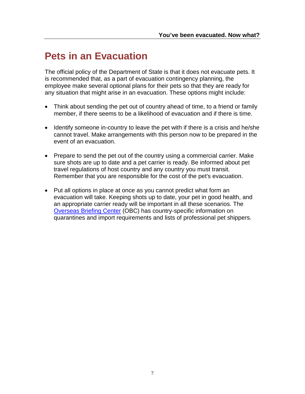### <span id="page-9-0"></span>**Pets in an Evacuation**

The official policy of the Department of State is that it does not evacuate pets. It is recommended that, as a part of evacuation contingency planning, the employee make several optional plans for their pets so that they are ready for any situation that might arise in an evacuation. These options might include:

- Think about sending the pet out of country ahead of time, to a friend or family member, if there seems to be a likelihood of evacuation and if there is time.
- Identify someone in-country to leave the pet with if there is a crisis and he/she cannot travel. Make arrangements with this person now to be prepared in the event of an evacuation.
- Prepare to send the pet out of the country using a commercial carrier. Make sure shots are up to date and a pet carrier is ready. Be informed about pet travel regulations of host country and any country you must transit. Remember that you are responsible for the cost of the pet's evacuation.
- Put all options in place at once as you cannot predict what form an evacuation will take. Keeping shots up to date, your pet in good health, and an appropriate carrier ready will be important in all these scenarios. The [Overseas Briefing Center](https://www.state.gov/bureaus-offices/under-secretary-for-management/foreign-service-institute/transition-center/) (OBC) has country-specific information on quarantines and import requirements and lists of professional pet shippers.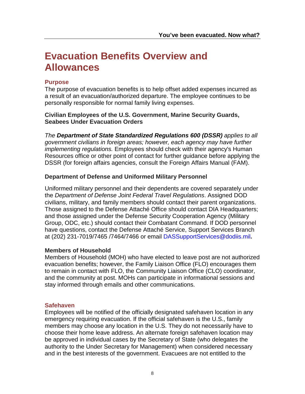## <span id="page-10-0"></span>**Evacuation Benefits Overview and Allowances**

#### **Purpose**

The purpose of evacuation benefits is to help offset added expenses incurred as a result of an evacuation/authorized departure. The employee continues to be personally responsible for normal family living expenses.

**Civilian Employees of the U.S. Government, Marine Security Guards, Seabees Under Evacuation Orders**

*The Department of State Standardized Regulations 600 (DSSR) applies to all government civilians in foreign areas; however, each agency may have further implementing regulations.* Employees should check with their agency's Human Resources office or other point of contact for further guidance before applying the DSSR (for foreign affairs agencies, consult the Foreign Affairs Manual (FAM).

#### **Department of Defense and Uniformed Military Personnel**

Uniformed military personnel and their dependents are covered separately under the *Department of Defense Joint Federal Travel Regulations*. Assigned DOD civilians, military, and family members should contact their parent organizations. Those assigned to the Defense Attaché Office should contact DIA Headquarters; and those assigned under the Defense Security Cooperation Agency (Military Group, ODC, etc.) should contact their Combatant Command. If DOD personnel have questions, contact the Defense Attaché Service, Support Services Branch at (202) 231-7019/7465 /7464/7466 or email [DASSupportServices@dodiis.mil](mailto:DASSupportServices@dodiis.mil)**.**

#### **Members of Household**

Members of Household (MOH) who have elected to leave post are not authorized evacuation benefits; however, the Family Liaison Office (FLO) encourages them to remain in contact with FLO, the Community Liaison Office (CLO) coordinator, and the community at post. MOHs can participate in informational sessions and stay informed through emails and other communications.

#### <span id="page-10-1"></span>**Safehaven**

Employees will be notified of the officially designated safehaven location in any emergency requiring evacuation. If the official safehaven is the U.S., family members may choose any location in the U.S. They do not necessarily have to choose their home leave address. An alternate foreign safehaven location may be approved in individual cases by the Secretary of State (who delegates the authority to the Under Secretary for Management) when considered necessary and in the best interests of the government. Evacuees are not entitled to the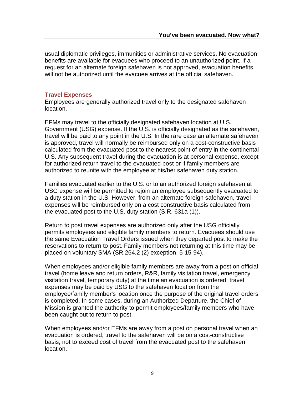usual diplomatic privileges, immunities or administrative services. No evacuation benefits are available for evacuees who proceed to an unauthorized point. If a request for an alternate foreign safehaven is not approved, evacuation benefits will not be authorized until the evacuee arrives at the official safehaven.

#### <span id="page-11-0"></span>**Travel Expenses**

Employees are generally authorized travel only to the designated safehaven location.

EFMs may travel to the officially designated safehaven location at U.S. Government (USG) expense. If the U.S. is officially designated as the safehaven, travel will be paid to any point in the U.S. In the rare case an alternate safehaven is approved, travel will normally be reimbursed only on a cost-constructive basis calculated from the evacuated post to the nearest point of entry in the continental U.S. Any subsequent travel during the evacuation is at personal expense, except for authorized return travel to the evacuated post or if family members are authorized to reunite with the employee at his/her safehaven duty station.

Families evacuated earlier to the U.S. or to an authorized foreign safehaven at USG expense will be permitted to rejoin an employee subsequently evacuated to a duty station in the U.S. However, from an alternate foreign safehaven, travel expenses will be reimbursed only on a cost constructive basis calculated from the evacuated post to the U.S. duty station (S.R. 631a (1)).

Return to post travel expenses are authorized only after the USG officially permits employees and eligible family members to return. Evacuees should use the same Evacuation Travel Orders issued when they departed post to make the reservations to return to post. Family members not returning at this time may be placed on voluntary SMA (SR.264.2 (2) exception, 5-15-94).

When employees and/or eligible family members are away from a post on official travel (home leave and return orders, R&R, family visitation travel, emergency visitation travel, temporary duty) at the time an evacuation is ordered, travel expenses may be paid by USG to the safehaven location from the employee/family member's location once the purpose of the original travel orders is completed. In some cases, during an Authorized Departure, the Chief of Mission is granted the authority to permit employees/family members who have been caught out to return to post.

When employees and/or EFMs are away from a post on personal travel when an evacuation is ordered, travel to the safehaven will be on a cost-constructive basis, not to exceed cost of travel from the evacuated post to the safehaven location.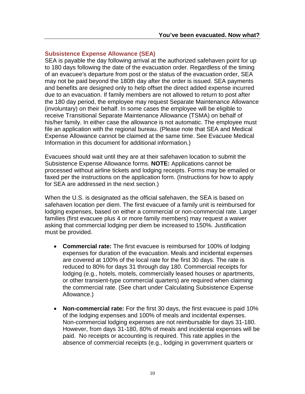#### <span id="page-12-0"></span>**Subsistence Expense Allowance (SEA)**

SEA is payable the day following arrival at the authorized safehaven point for up to 180 days following the date of the evacuation order. Regardless of the timing of an evacuee's departure from post or the status of the evacuation order, SEA may not be paid beyond the 180th day after the order is issued. SEA payments and benefits are designed only to help offset the direct added expense incurred due to an evacuation. If family members are not allowed to return to post after the 180 day period, the employee may request Separate Maintenance Allowance (involuntary) on their behalf. In some cases the employee will be eligible to receive Transitional Separate Maintenance Allowance (TSMA) on behalf of his/her family. In either case the allowance is not automatic. The employee must file an application with the regional bureau. (Please note that SEA and Medical Expense Allowance cannot be claimed at the same time. See Evacuee Medical Information in this document for additional information.)

Evacuees should wait until they are at their safehaven location to submit the Subsistence Expense Allowance forms. **NOTE:** Applications cannot be processed without airline tickets and lodging receipts. Forms may be emailed or faxed per the instructions on the application form. (Instructions for how to apply for SEA are addressed in the next section.)

When the U.S. is designated as the official safehaven, the SEA is based on safehaven location per diem. The first evacuee of a family unit is reimbursed for lodging expenses, based on either a commercial or non-commercial rate. Larger families (first evacuee plus 4 or more family members) may request a waiver asking that commercial lodging per diem be increased to 150%. Justification must be provided.

- **Commercial rate:** The first evacuee is reimbursed for 100% of lodging expenses for duration of the evacuation. Meals and incidental expenses are covered at 100% of the local rate for the first 30 days. The rate is reduced to 80% for days 31 through day 180. Commercial receipts for lodging (e.g., hotels, motels, commercially leased houses or apartments, or other transient-type commercial quarters) are required when claiming the commercial rate. (See chart under Calculating Subsistence Expense Allowance.)
- **Non-commercial rate:** For the first 30 days, the first evacuee is paid 10% of the lodging expenses and 100% of meals and incidental expenses. Non-commercial lodging expenses are not reimbursable for days 31-180. However, from days 31-180, 80% of meals and incidental expenses will be paid. No receipts or accounting is required. This rate applies in the absence of commercial receipts (e.g., lodging in government quarters or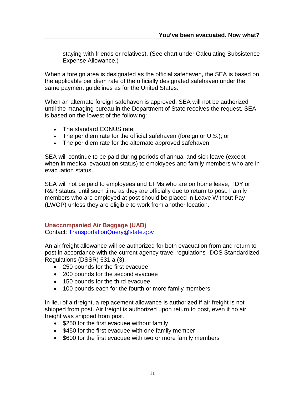staying with friends or relatives). (See chart under Calculating Subsistence Expense Allowance.)

When a foreign area is designated as the official safehaven, the SEA is based on the applicable per diem rate of the officially designated safehaven under the same payment guidelines as for the United States.

When an alternate foreign safehaven is approved, SEA will not be authorized until the managing bureau in the Department of State receives the request. SEA is based on the lowest of the following:

- The standard CONUS rate;
- The per diem rate for the official safehaven (foreign or U.S.); or
- The per diem rate for the alternate approved safehaven.

SEA will continue to be paid during periods of annual and sick leave (except when in medical evacuation status) to employees and family members who are in evacuation status.

SEA will not be paid to employees and EFMs who are on home leave, TDY or R&R status, until such time as they are officially due to return to post. Family members who are employed at post should be placed in Leave Without Pay (LWOP) unless they are eligible to work from another location.

#### **Unaccompanied Air Baggage (UAB)**

Contact: [TransportationQuery@state.gov](mailto:TransportationQuery@state.gov)

An air freight allowance will be authorized for both evacuation from and return to post in accordance with the current agency travel regulations--DOS Standardized Regulations (DSSR) 631 a (3).

- 250 pounds for the first evacuee
- 200 pounds for the second evacuee
- 150 pounds for the third evacuee
- 100 pounds each for the fourth or more family members

In lieu of airfreight, a replacement allowance is authorized if air freight is not shipped from post. Air freight is authorized upon return to post, even if no air freight was shipped from post.

- \$250 for the first evacuee without family
- \$450 for the first evacuee with one family member
- \$600 for the first evacuee with two or more family members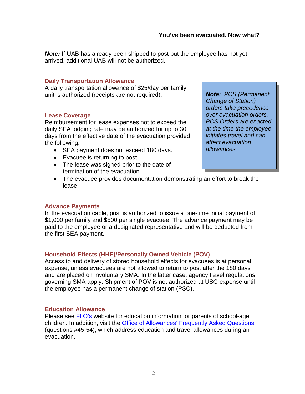*Note:* If UAB has already been shipped to post but the employee has not yet arrived, additional UAB will not be authorized.

#### <span id="page-14-0"></span>**Daily Transportation Allowance**

A daily transportation allowance of \$25/day per family unit is authorized (receipts are not required).

#### <span id="page-14-1"></span>**Lease Coverage**

Reimbursement for lease expenses not to exceed the daily SEA lodging rate may be authorized for up to 30 days from the effective date of the evacuation provided the following:

- SEA payment does not exceed 180 days.
- Evacuee is returning to post.
- The lease was signed prior to the date of termination of the evacuation.
- The evacuee provides documentation demonstrating an effort to break the lease.

#### **Advance Payments**

In the evacuation cable, post is authorized to issue a one-time initial payment of \$1,000 per family and \$500 per single evacuee. The advance payment may be paid to the employee or a designated representative and will be deducted from the first SEA payment.

#### <span id="page-14-2"></span>**Household Effects (HHE)/Personally Owned Vehicle (POV)**

Access to and delivery of stored household effects for evacuees is at personal expense, unless evacuees are not allowed to return to post after the 180 days and are placed on involuntary SMA. In the latter case, agency travel regulations governing SMA apply. Shipment of POV is not authorized at USG expense until the employee has a permanent change of station (PSC).

#### <span id="page-14-3"></span>**Education Allowance**

Please see [FLO's](https://www.state.gov/bureaus-offices/under-secretary-for-management/bureau-of-human-resources/family-liaison-office/) website for education information for parents of school-age children. In addition, visit the [Office of Allowances' Frequently Asked Questions](http://aoprals.a.state.gov/content.asp?content_id=164&menu_id=75#45) (questions #45-54), which address education and travel allowances during an evacuation.

*Note: PCS (Permanent Change of Station) orders take precedence over evacuation orders. PCS Orders are enacted at the time the employee initiates travel and can affect evacuation allowances.*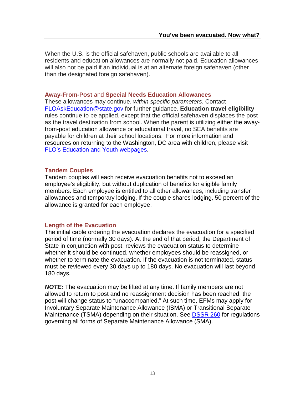When the U.S. is the official safehaven, public schools are available to all residents and education allowances are normally not paid. Education allowances will also not be paid if an individual is at an alternate foreign safehaven (other than the designated foreign safehaven).

#### **Away-From-Post** and **Special Needs Education Allowances**

These allowances may continue, *within specific parameters*. Contact [FLOAskEducation@state.gov](mailto:FLOAskEducation@state.gov) for further guidance. **Education travel eligibility** rules continue to be applied, except that the official safehaven displaces the post as the travel destination from school. When the parent is utilizing either the awayfrom-post education allowance or educational travel, no SEA benefits are payable for children at their school locations. For more information and resources on returning to the Washington, DC area with children, please visit [FLO's Education and](https://www.state.gov/family-liaison-office/education-and-youth/) Youth webpages.

#### <span id="page-15-0"></span>**Tandem Couples**

Tandem couples will each receive evacuation benefits not to exceed an employee's eligibility, but without duplication of benefits for eligible family members. Each employee is entitled to all other allowances, including transfer allowances and temporary lodging. If the couple shares lodging, 50 percent of the allowance is granted for each employee.

#### <span id="page-15-1"></span>**Length of the Evacuation**

The initial cable ordering the evacuation declares the evacuation for a specified period of time (normally 30 days). At the end of that period, the Department of State in conjunction with post, reviews the evacuation status to determine whether it should be continued, whether employees should be reassigned, or whether to terminate the evacuation. If the evacuation is not terminated, status must be reviewed every 30 days up to 180 days. No evacuation will last beyond 180 days.

*NOTE:* The evacuation may be lifted at any time. If family members are not allowed to return to post and no reassignment decision has been reached, the post will change status to "unaccompanied." At such time, EFMs may apply for Involuntary Separate Maintenance Allowance (ISMA) or Transitional Separate Maintenance (TSMA) depending on their situation. See [DSSR 260](http://aoprals.a.state.gov/content.asp?content_id=215&menu_id=75) for regulations governing all forms of Separate Maintenance Allowance (SMA).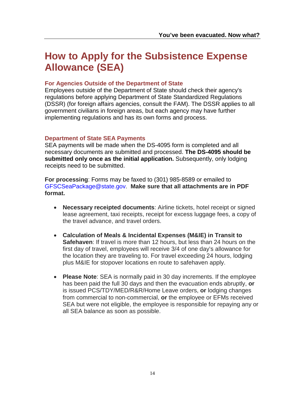## **How to Apply for the Subsistence Expense Allowance (SEA)**

#### **For Agencies Outside of the Department of State**

Employees outside of the Department of State should check their agency's regulations before applying Department of State Standardized Regulations (DSSR) (for foreign affairs agencies, consult the FAM). The DSSR applies to all government civilians in foreign areas, but each agency may have further implementing regulations and has its own forms and process.

#### **Department of State SEA Payments**

SEA payments will be made when the DS-4095 form is completed and all necessary documents are submitted and processed. **The DS-4095 should be submitted only once as the initial application.** Subsequently, only lodging receipts need to be submitted.

**For processing**: Forms may be faxed to (301) 985-8589 or emailed to [GFSCSeaPackage@state.gov.](mailto:GFSCSeaPackage@state.gov) **Make sure that all attachments are in PDF format.**

- **Necessary receipted documents**: Airline tickets, hotel receipt or signed lease agreement, taxi receipts, receipt for excess luggage fees, a copy of the travel advance, and travel orders.
- **Calculation of Meals & Incidental Expenses (M&IE) in Transit to Safehaven**: If travel is more than 12 hours, but less than 24 hours on the first day of travel, employees will receive 3/4 of one day's allowance for the location they are traveling to. For travel exceeding 24 hours, lodging plus M&IE for stopover locations en route to safehaven apply.
- **Please Note**: SEA is normally paid in 30 day increments. If the employee has been paid the full 30 days and then the evacuation ends abruptly, **or** is issued PCS/TDY/MED/R&R/Home Leave orders, **or** lodging changes from commercial to non-commercial, **or** the employee or EFMs received SEA but were not eligible, the employee is responsible for repaying any or all SEA balance as soon as possible.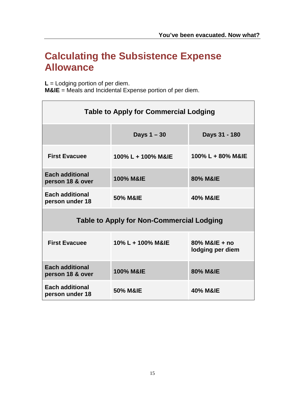## <span id="page-17-0"></span>**Calculating the Subsistence Expense Allowance**

**L** = Lodging portion of per diem.

**M&IE** = Meals and Incidental Expense portion of per diem.

<span id="page-17-1"></span>

| <b>Table to Apply for Commercial Lodging</b>     |                      |                                   |  |  |  |
|--------------------------------------------------|----------------------|-----------------------------------|--|--|--|
|                                                  | Days $1 - 30$        | Days 31 - 180                     |  |  |  |
| <b>First Evacuee</b>                             | 100% L + 100% M&IE   | 100% L + 80% M&IE                 |  |  |  |
| <b>Each additional</b><br>person 18 & over       | <b>100% M&amp;IE</b> | 80% M&IE                          |  |  |  |
| <b>Each additional</b><br>person under 18        | 50% M&IE             | <b>40% M&amp;IE</b>               |  |  |  |
| <b>Table to Apply for Non-Commercial Lodging</b> |                      |                                   |  |  |  |
| <b>First Evacuee</b>                             | 10% L + 100% M&IE    | 80% M&IE + no<br>lodging per diem |  |  |  |
| <b>Each additional</b><br>person 18 & over       | <b>100% M&amp;IE</b> | 80% M&IE                          |  |  |  |
| <b>Each additional</b><br>person under 18        | <b>50% M&amp;IE</b>  | 40% M&IE                          |  |  |  |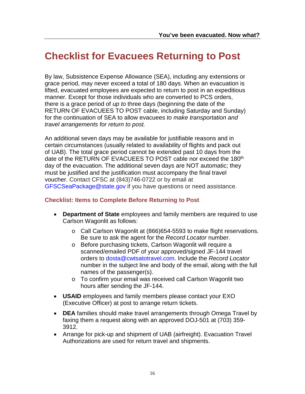## **Checklist for Evacuees Returning to Post**

By law, Subsistence Expense Allowance (SEA), including any extensions or grace period, may never exceed a total of 180 days. When an evacuation is lifted, evacuated employees are expected to return to post in an expeditious manner. Except for those individuals who are converted to PCS orders, there is a grace period of *up to* three days (beginning the date of the RETURN OF EVACUEES TO POST cable, including Saturday and Sunday) for the continuation of SEA to allow evacuees *to make transportation and travel arrangements for return to post.*

An additional seven days may be available for justifiable reasons and in certain circumstances (usually related to availability of flights and pack out of UAB). The total grace period cannot be extended past 10 days from the date of the RETURN OF EVACUEES TO POST cable nor exceed the 180<sup>th</sup> day of the evacuation. The additional seven days are NOT automatic; they must be justified and the justification must accompany the final travel voucher. Contact CFSC at (843)746-0722 or by email at [GFSCSeaPackage@state.gov](mailto:GFSCSeaPackage@state.gov) if you have questions or need assistance.

#### **Checklist: Items to Complete Before Returning to Post**

- **Department of State** employees and family members are required to use Carlson Wagonlit as follows:
	- o Call Carlson Wagonlit at (866)654-5593 to make flight reservations. Be sure to ask the agent for the *Record Locator* number.
	- o Before purchasing tickets, Carlson Wagonlit will require a scanned/emailed PDF of your approved/signed JF-144 travel orders to [dosta@cwtsatotravel.com.](mailto:dosta@cwtsatotravel.com) Include the *Record Locator* number in the subject line and body of the email, along with the full names of the passenger(s).
	- o To confirm your email was received call Carlson Wagonlit two hours after sending the JF-144.
- **USAID** employees and family members please contact your EXO (Executive Officer) at post to arrange return tickets.
- **DEA** families should make travel arrangements through Omega Travel by faxing them a request along with an approved DOJ-501 at (703) 359- 3912.
- Arrange for pick-up and shipment of UAB (airfreight). Evacuation Travel Authorizations are used for return travel and shipments.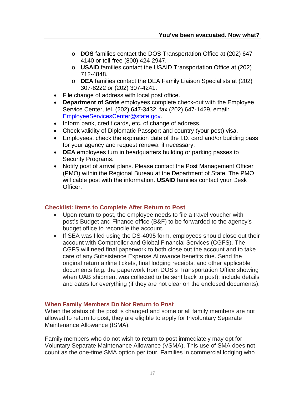- o **DOS** families contact the DOS Transportation Office at (202) 647- 4140 or toll-free (800) 424-2947.
- o **USAID** families contact the USAID Transportation Office at (202) 712-4848.
- o **DEA** families contact the DEA Family Liaison Specialists at (202) 307-8222 or (202) 307-4241.
- File change of address with local post office.
- **Department of State** employees complete check-out with the Employee Service Center, tel. (202) 647-3432, fax (202) 647-1429, email: [EmployeeServicesCenter@state.gov.](mailto:EmployeeServicesCenter@state.gov)
- Inform bank, credit cards, etc. of change of address.
- Check validity of Diplomatic Passport and country (your post) visa.
- Employees, check the expiration date of the I.D. card and/or building pass for your agency and request renewal if necessary.
- **DEA** employees turn in headquarters building or parking passes to Security Programs.
- Notify post of arrival plans. Please contact the Post Management Officer (PMO) within the Regional Bureau at the Department of State. The PMO will cable post with the information. **USAID** families contact your Desk Officer.

#### **Checklist: Items to Complete After Return to Post**

- Upon return to post, the employee needs to file a travel voucher with post's Budget and Finance office (B&F) to be forwarded to the agency's budget office to reconcile the account.
- If SEA was filed using the DS-4095 form, employees should close out their account with Comptroller and Global Financial Services (CGFS). The CGFS will need final paperwork to both close out the account and to take care of any Subsistence Expense Allowance benefits due. Send the original return airline tickets, final lodging receipts, and other applicable documents (e.g. the paperwork from DOS's Transportation Office showing when UAB shipment was collected to be sent back to post); include details and dates for everything (if they are not clear on the enclosed documents).

#### **When Family Members Do Not Return to Post**

When the status of the post is changed and some or all family members are not allowed to return to post, they are eligible to apply for Involuntary Separate Maintenance Allowance (ISMA).

Family members who do not wish to return to post immediately may opt for Voluntary Separate Maintenance Allowance (VSMA). This use of SMA does not count as the one-time SMA option per tour. Families in commercial lodging who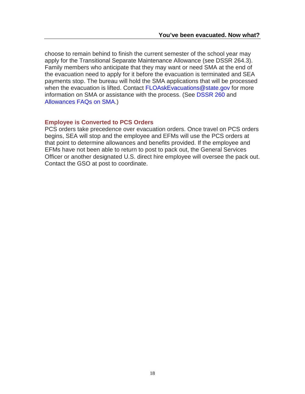choose to remain behind to finish the current semester of the school year may apply for the Transitional Separate Maintenance Allowance (see DSSR 264.3). Family members who anticipate that they may want or need SMA at the end of the evacuation need to apply for it before the evacuation is terminated and SEA payments stop. The bureau will hold the SMA applications that will be processed when the evacuation is lifted. Contact [FLOAskEvacuations@state.gov](mailto:FLOAskEvacuations@state.gov) for more information on SMA or assistance with the process. (See [DSSR 260](http://aoprals.a.state.gov/content.asp?content_id=215&menu_id=75) and [Allowances FAQs on SMA.](http://aoprals.a.state.gov/content.asp?content_id=162&menu_id=75))

#### **Employee is Converted to PCS Orders**

PCS orders take precedence over evacuation orders. Once travel on PCS orders begins, SEA will stop and the employee and EFMs will use the PCS orders at that point to determine allowances and benefits provided. If the employee and EFMs have not been able to return to post to pack out, the General Services Officer or another designated U.S. direct hire employee will oversee the pack out. Contact the GSO at post to coordinate.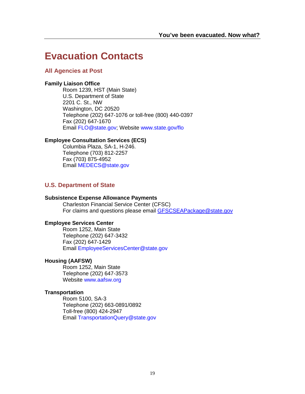### <span id="page-21-0"></span>**Evacuation Contacts**

#### <span id="page-21-1"></span>**All Agencies at Post**

#### **Family Liaison Office**

Room 1239, HST (Main State) U.S. Department of State 2201 C. St., NW Washington, DC 20520 Telephone (202) 647-1076 or toll-free (800) 440-0397 Fax (202) 647-1670 Email [FLO@state.gov;](mailto:FLO@state.gov) Website www.state.gov/flo

#### **Employee Consultation Services (ECS)**

Columbia Plaza, SA-1, H-246. Telephone (703) 812-2257 Fax (703) 875-4952 Email [MEDECS@state.gov](mailto:MEDECS@state.gov)

#### <span id="page-21-2"></span>**U.S. Department of State**

#### **Subsistence Expense Allowance Payments**

Charleston Financial Service Center (CFSC) For claims and questions please email **[GFSCSEAPackage@state.gov](mailto:GFSCSEAPackage@state.gov)** 

#### **Employee Services Center**

Room 1252, Main State Telephone (202) 647-3432 Fax (202) 647-1429 Email [EmployeeServicesCenter@state.gov](mailto:EmployeeServicesCenter@state.gov)

#### **Housing (AAFSW)**

Room 1252, Main State Telephone (202) 647-3573 Website [www.aafsw.org](http://www.aafsw.org/)

#### **Transportation**

Room 5100, SA-3 Telephone (202) 663-0891/0892 Toll-free (800) 424-2947 Email [TransportationQuery@state.gov](mailto:TransportationQuery@state.gov)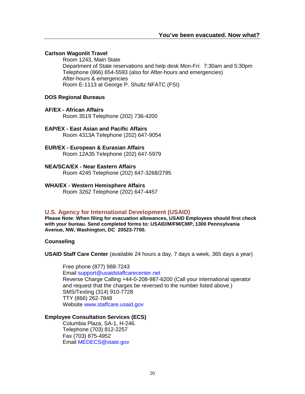#### **Carlson Wagonlit Travel**

Room 1243, Main State Department of State reservations and help desk Mon-Fri: 7:30am and 5:30pm Telephone (866) 654-5593 (also for After-hours and emergencies) After-hours & emergencies Room E-1113 at George P. Shultz NFATC (FSI)

#### **DOS Regional Bureaus**

#### **AF/EX - African Affairs**

Room 3519 Telephone (202) 736-4200

#### **EAP/EX - East Asian and Pacific Affairs** Room 4313A Telephone (202) 647-9054

#### **EUR/EX - European & Eurasian Affairs**

Room 12A35 Telephone (202) 647-5979

#### **NEA/SCA/EX - Near Eastern Affairs**

Room 4245 Telephone (202) 647-3268/2785

#### <span id="page-22-0"></span>**WHA/EX - Western Hemisphere Affairs**

Room 3262 Telephone (202) 647-4457

#### **U.S. Agency for International Development (USAID)**

**Please Note: When filing for evacuation allowances, USAID Employees should first check with your bureau. Send completed forms to: USAID/M/FM/CMP, 1300 Pennsylvania Avenue, NW, Washington, DC 20523-7700.**

**Counseling**

**USAID Staff Care Center** (available 24 hours a day, 7 days a week, 365 days a year)

Free phone (877) 988-7243 Email [support@usaidstaffcarecenter.net](mailto:support@usaidstaffcarecenter.net) Reverse Charge Calling +44-0-208-987-6200 (Call your international operator and request that the charges be reversed to the number listed above.) SMS/Texting (314) 910-7728 TTY (866) 262-7848 Website [www.staffcare.usaid.gov](http://www.staffcare.usaid.gov/)

#### **Employee Consultation Services (ECS)**

<span id="page-22-1"></span>Columbia Plaza, SA-1, H-246. Telephone (703) 812-2257 Fax (703) 875-4952 Email [MEDECS@state.gov](mailto:MEDECS@state.gov)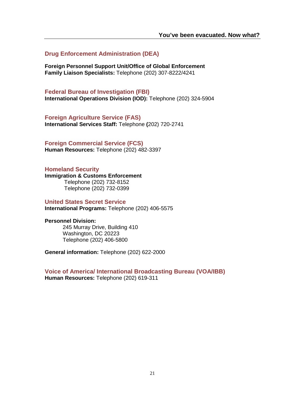**Drug Enforcement Administration (DEA)**

**Foreign Personnel Support Unit/Office of Global Enforcement Family Liaison Specialists:** Telephone (202) 307-8222/4241

<span id="page-23-0"></span>**Federal Bureau of Investigation (FBI) International Operations Division (IOD):** Telephone (202) 324-5904

<span id="page-23-1"></span>**Foreign Agriculture Service (FAS) International Services Staff:** Telephone **(**202) 720-2741

<span id="page-23-2"></span>**Foreign Commercial Service (FCS) Human Resources:** Telephone (202) 482-3397

<span id="page-23-3"></span>**Homeland Security**

**Immigration & Customs Enforcement** Telephone (202) 732-8152 Telephone (202) 732-0399

<span id="page-23-4"></span>**United States Secret Service**

**International Programs:** Telephone (202) 406-5575

#### **Personnel Division:**

245 Murray Drive, Building 410 Washington, DC 20223 Telephone (202) 406-5800

**General information:** Telephone (202) 622-2000

<span id="page-23-5"></span>**Voice of America/ International Broadcasting Bureau (VOA/IBB) Human Resources:** Telephone (202) 619-311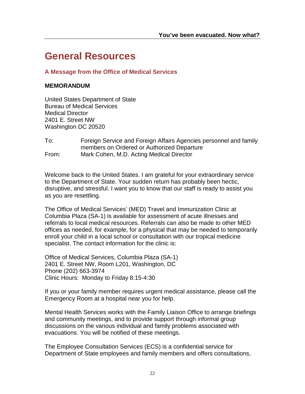### <span id="page-24-0"></span>**General Resources**

#### <span id="page-24-1"></span>**A Message from the Office of Medical Services**

#### **MEMORANDUM**

United States Department of State Bureau of Medical Services Medical Director 2401 E. Street NW Washington DC 20520

To: Foreign Service and Foreign Affairs Agencies personnel and family members on Ordered or Authorized Departure From: Mark Cohen, M.D. Acting Medical Director

Welcome back to the United States. I am grateful for your extraordinary service to the Department of State. Your sudden return has probably been hectic, disruptive, and stressful. I want you to know that our staff is ready to assist you as you are resettling.

The Office of Medical Services' (MED) Travel and Immunization Clinic at Columbia Plaza (SA-1) is available for assessment of acute illnesses and referrals to local medical resources. Referrals can also be made to other MED offices as needed, for example, for a physical that may be needed to temporarily enroll your child in a local school or consultation with our tropical medicine specialist. The contact information for the clinic is:

Office of Medical Services, Columbia Plaza (SA-1) 2401 E. Street NW, Room L201, Washington, DC Phone (202) 663-3974 Clinic Hours: Monday to Friday 8:15-4:30

If you or your family member requires urgent medical assistance, please call the Emergency Room at a hospital near you for help.

Mental Health Services works with the Family Liaison Office to arrange briefings and community meetings, and to provide support through informal group discussions on the various individual and family problems associated with evacuations. You will be notified of these meetings.

The Employee Consultation Services (ECS) is a confidential service for Department of State employees and family members and offers consultations,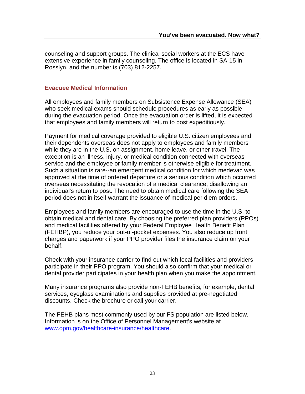counseling and support groups. The clinical social workers at the ECS have extensive experience in family counseling. The office is located in SA-15 in Rosslyn, and the number is (703) 812-2257.

#### **Evacuee Medical Information**

All employees and family members on Subsistence Expense Allowance (SEA) who seek medical exams should schedule procedures as early as possible during the evacuation period. Once the evacuation order is lifted, it is expected that employees and family members will return to post expeditiously.

Payment for medical coverage provided to eligible U.S. citizen employees and their dependents overseas does not apply to employees and family members while they are in the U.S. on assignment, home leave, or other travel. The exception is an illness, injury, or medical condition connected with overseas service and the employee or family member is otherwise eligible for treatment. Such a situation is rare--an emergent medical condition for which medevac was approved at the time of ordered departure or a serious condition which occurred overseas necessitating the revocation of a medical clearance, disallowing an individual's return to post. The need to obtain medical care following the SEA period does not in itself warrant the issuance of medical per diem orders.

Employees and family members are encouraged to use the time in the U.S. to obtain medical and dental care. By choosing the preferred plan providers (PPOs) and medical facilities offered by your Federal Employee Health Benefit Plan (FEHBP), you reduce your out-of-pocket expenses. You also reduce up front charges and paperwork if your PPO provider files the insurance claim on your behalf.

Check with your insurance carrier to find out which local facilities and providers participate in their PPO program. You should also confirm that your medical or dental provider participates in your health plan when you make the appointment.

Many insurance programs also provide non-FEHB benefits, for example, dental services, eyeglass examinations and supplies provided at pre-negotiated discounts. Check the brochure or call your carrier.

The FEHB plans most commonly used by our FS population are listed below. Information is on the Office of Personnel Management's website at www.opm.gov/healthcare-insurance/healthcare.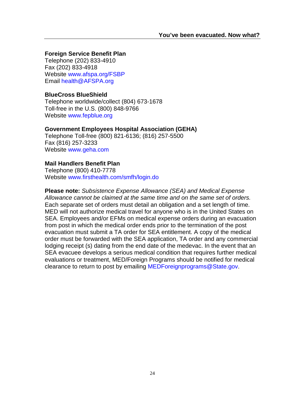#### **Foreign Service Benefit Plan**

Telephone (202) 833-4910 Fax (202) 833-4918 Website [www.afspa.org/FSBP](http://www.afspa.org/FSBP) Email [health@AFSPA.org](mailto:health@AFSPA.org)

#### **BlueCross BlueShield**

Telephone worldwide/collect (804) 673-1678 Toll-free in the U.S. (800) 848-9766 Website [www.fepblue.org](http://www.fepblue.org/)

#### **Government Employees Hospital Association (GEHA)**

Telephone Toll-free (800) 821-6136; (816) 257-5500 Fax (816) 257-3233 Website [www.geha.com](http://www.geha.com/)

#### **Mail Handlers Benefit Plan**

Telephone (800) 410-7778 Website [www.firsthealth.com/smfh/login.do](http://www.firsthealth.com/smfh/login.do)

**Please note:** *Subsistence Expense Allowance (SEA) and Medical Expense Allowance cannot be claimed at the same time and on the same set of orders.* Each separate set of orders must detail an obligation and a set length of time. MED will not authorize medical travel for anyone who is in the United States on SEA. Employees and/or EFMs on medical expense orders during an evacuation from post in which the medical order ends prior to the termination of the post evacuation must submit a TA order for SEA entitlement. A copy of the medical order must be forwarded with the SEA application, TA order and any commercial lodging receipt (s) dating from the end date of the medevac. In the event that an SEA evacuee develops a serious medical condition that requires further medical evaluations or treatment, MED/Foreign Programs should be notified for medical clearance to return to post by emailing [MEDForeignprograms@State.gov.](mailto:MEDForeignprograms@State.gov)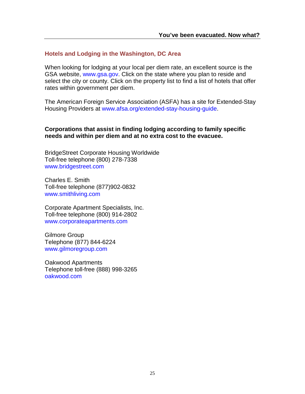#### <span id="page-27-0"></span>**Hotels and Lodging in the Washington, DC Area**

When looking for lodging at your local per diem rate, an excellent source is the GSA website, [www.gsa.gov.](http://www.gsa.gov/) Click on the state where you plan to reside and select the city or county. Click on the property list to find a list of hotels that offer rates within government per diem.

The American Foreign Service Association (ASFA) has a site for Extended-Stay Housing Providers at [www.afsa.org/extended-stay-housing-guide.](http://www.afsa.org/extended-stay-housing-guide)

#### **Corporations that assist in finding lodging according to family specific needs and within per diem and at no extra cost to the evacuee.**

BridgeStreet Corporate Housing Worldwide Toll-free telephone (800) 278-7338 www.bridgestreet.com

Charles E. Smith Toll-free telephone (877)902-0832 [www.smithliving.com](http://www.smithliving.com/)

Corporate Apartment Specialists, Inc. Toll-free telephone (800) 914-2802 www.corporateapartments.com

Gilmore Group Telephone (877) 844-6224 www.gilmoregroup.com

Oakwood Apartments Telephone toll-free (888) 998-3265 oakwood.com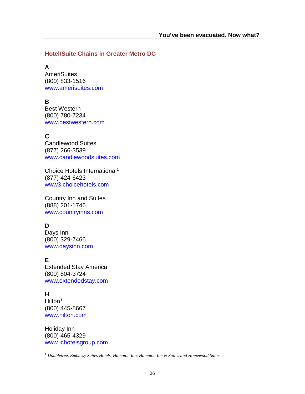#### <span id="page-28-0"></span>**Hotel/Suite Chains in Greater Metro DC**

**A**

AmeriSuites (800) 833-1516 www.amerisuites.com

### **B**

Best Western (800) 780-7234 www.bestwestern.com

### **C**

Candlewood Suites (877) 266-3539 www.candlewoodsuites.com

Choice Hotels International1 (877) 424-6423 www3.choicehotels.com

Country Inn and Suites (888) 201-1746 www.countryinns.com

### **D**

Days Inn (800) 329-7466 www.daysinn.com

### **E**

Extended Stay America (800) 804-3724 www.extendedstay.com

#### **H**

Hilton<sup>[1](#page-28-1)</sup> (800) 445-8667 www.hilton.com

Holiday Inn (800) 465-4329 www.ichotelsgroup.com

<span id="page-28-1"></span><sup>1</sup> *Doubletree, Embassy Suites Hotels, Hampton Inn, Hampton Inn & Suites and Homewood Suites*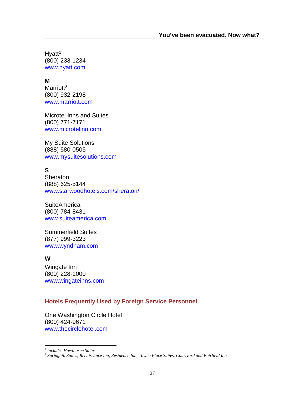$H$ vatt<sup>[2](#page-29-1)</sup> (800) 233-1234 www.hyatt.com

#### **M**

Marriott<sup>3</sup> (800) 932-2198 www.marriott.com

Microtel Inns and Suites (800) 771-7171 www.microtelinn.com

My Suite Solutions (888) 580-0505 www.mysuitesolutions.com

### **S**

**Sheraton** (888) 625-5144 www.starwoodhotels.com/sheraton/

**SuiteAmerica** (800) 784-8431 www.suiteamerica.com

Summerfield Suites (877) 999-3223 www.wyndham.com

#### **W**

Wingate Inn (800) 228-1000 [www.wingateinns.com](http://www.wingateinns.com/)

### <span id="page-29-0"></span>**Hotels Frequently Used by Foreign Service Personnel**

One Washington Circle Hotel (800) 424-9671 [www.thecirclehotel.com](http://www.thecirclehotel.com/)

<span id="page-29-1"></span><sup>2</sup> *includes Hawthorne Suites*

<span id="page-29-2"></span><sup>3</sup> *Springhill Suites, Renaissance Inn, Residence Inn, Towne Place Suites, Courtyard and Fairfield Inn*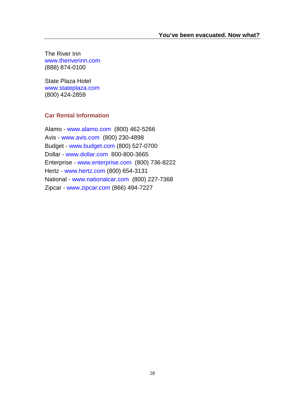The River Inn [www.theriverinn.com](http://www.theriverinn.com/) (888) 874-0100

State Plaza Hotel [www.stateplaza.com](http://www.stateplaza.com/) (800) 424-2859

#### <span id="page-30-0"></span>**Car Rental Information**

Alamo - [www.alamo.com](http://www.alamo.com/) (800) 462-5266 Avis - [www.avis.com](http://www.avis.com/) (800) 230-4898 Budget - [www.budget.com](http://www.budget.com/) (800) 527-0700 Dollar - [www.dollar.com](http://www.dollar.com/) 800-800-3665 Enterprise - [www.enterprise.com](http://www.enterprise.com/) (800) 736-8222 Hertz - [www.hertz.com](http://www.hertz.com/) (800) 654-3131 National - [www.nationalcar.com](http://www.nationalcar.com/) (800) 227-7368 Zipcar - [www.zipcar.com](http://www.zipcar.com/) (866) 494-7227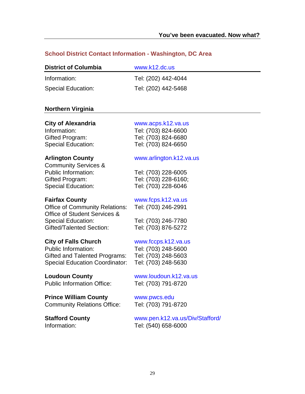#### <span id="page-31-0"></span>**School District Contact Information - Washington, DC Area**

| <b>District of Columbia</b> | www.k12.dc.us       |  |  |
|-----------------------------|---------------------|--|--|
| Information:                | Tel: (202) 442-4044 |  |  |
| <b>Special Education:</b>   | Tel: (202) 442-5468 |  |  |

#### **Northern Virginia**

|  |  |  |  | <b>City of Alexandria</b> |
|--|--|--|--|---------------------------|
|--|--|--|--|---------------------------|

Special Education: Tel: (703) 824-6650

Community Services & Public Information: Tel: (703) 228-6005 Gifted Program: Tel: (703) 228-6160; Special Education: Tel: (703) 228-6046

Office of Community Relations: Tel: (703) 246-2991 Office of Student Services & Special Education: Tel: (703) 246-7780 Gifted/Talented Section: Tel: (703) 876-5272

#### **City of Falls Church**  [www.fccps.k12.va.us](http://www.fccps.k12.va.us/)

Public Information: Tel: (703) 248-5600 Gifted and Talented Programs: Tel: (703) 248-5603 Special Education Coordinator: Tel: (703) 248-5630

Public Information Office: Tel: (703) 791-8720

**Prince William County WWW.pwcs.edu** Community Relations Office: Tel: (703) 791-8720

[www.acps.k12.va.us](http://www.acps.k12.va.us/) Information: Tel: (703) 824-6600 Gifted Program: Tel: (703) 824-6680

#### **Arlington County** [www.arlington.k12.va.us](http://www.arlington.k12.va.us/)

#### **Fairfax County [www.fcps.k12.va.us](http://www.fcps.k12.va.us/)**

## **Loudoun County** [www.loudoun.k12.va.us](http://www.loudoun.k12.va.us/)

**Stafford County** [www.pen.k12.va.us/Div/Stafford/](http://www.pen.k12.va.us/Div/Stafford/) Information: Tel: (540) 658-6000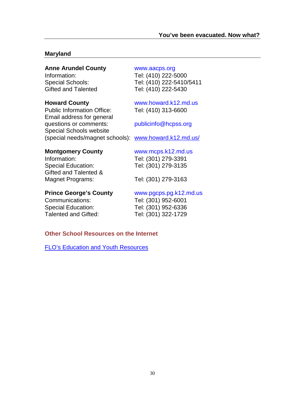#### **Maryland**

#### **Anne Arundel County** [www.aacps.org](http://www.aacps.org/)

Public Information Office: Tel: (410) 313-6600 Email address for general questions or comments: [publicinfo@hcpss.org](mailto:publicinfo@hcpss.org) Special Schools website (special needs/magnet schools): [www.howard.k12.md.us/](http://www.howard.k12.md.us/)

Information: Tel: (410) 222-5000 Special Schools: Tel: (410) 222-5410/5411 Gifted and Talented Tel: (410) 222-5430

### **Howard County** [www.howard.k12.md.us](http://www.howard.k12.md.us/)

#### **Montgomery County** [www.mcps.k12.md.us](http://www.mcps.k12.md.us/)

Information: Tel: (301) 279-3391 Special Education: Tel: (301) 279-3135 Gifted and Talented & Magnet Programs: Tel: (301) 279-3163

#### **Prince George's County** [www.pgcps.pg.k12.md.us](http://www.pgcps.pg.k12.md.us/)

Communications: Tel: (301) 952-6001 Special Education: Tel: (301) 952-6336 Talented and Gifted: Tel: (301) 322-1729

#### <span id="page-32-0"></span>**Other School Resources on the Internet**

[FLO's Education and Youth Resources](https://www.state.gov/family-liaison-office/education-and-youth/transitioning-from-school-to-school/)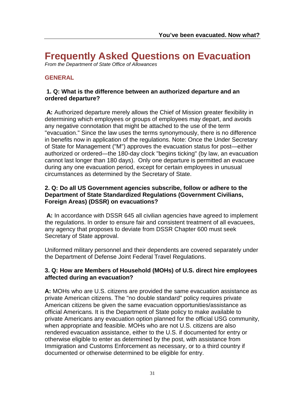### <span id="page-33-0"></span>**Frequently Asked Questions on Evacuation**

<span id="page-33-1"></span>*From the Department of State Office of Allowances*

### **GENERAL**

#### **1. Q: What is the difference between an authorized departure and an ordered departure?**

**A:** Authorized departure merely allows the Chief of Mission greater flexibility in determining which employees or groups of employees may depart, and avoids any negative connotation that might be attached to the use of the term "evacuation." Since the law uses the terms synonymously, there is no difference in benefits now in application of the regulations. Note: Once the Under Secretary of State for Management ("M") approves the evacuation status for post—either authorized or ordered—the 180-day clock "begins ticking" (by law, an evacuation cannot last longer than 180 days). Only one departure is permitted an evacuee during any one evacuation period, except for certain employees in unusual circumstances as determined by the Secretary of State.

#### **2. Q: Do all US Government agencies subscribe, follow or adhere to the Department of State Standardized Regulations (Government Civilians, Foreign Areas) (DSSR) on evacuations?**

**A:** In accordance with DSSR 645 all civilian agencies have agreed to implement the regulations. In order to ensure fair and consistent treatment of all evacuees, any agency that proposes to deviate from DSSR Chapter 600 must seek Secretary of State approval.

Uniformed military personnel and their dependents are covered separately under the Department of Defense Joint Federal Travel Regulations.

#### **3. Q: How are Members of Household (MOHs) of U.S. direct hire employees affected during an evacuation?**

**A:** MOHs who are U.S. citizens are provided the same evacuation assistance as private American citizens. The "no double standard" policy requires private American citizens be given the same evacuation opportunities/assistance as official Americans. It is the Department of State policy to make available to private Americans any evacuation option planned for the official USG community, when appropriate and feasible. MOHs who are not U.S. citizens are also rendered evacuation assistance, either to the U.S. if documented for entry or otherwise eligible to enter as determined by the post, with assistance from Immigration and Customs Enforcement as necessary, or to a third country if documented or otherwise determined to be eligible for entry.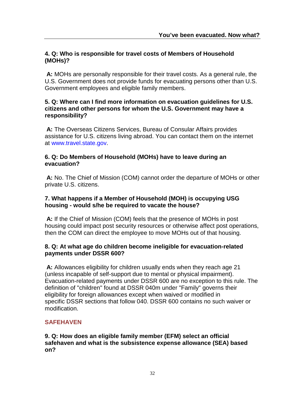#### **4. Q: Who is responsible for travel costs of Members of Household (MOHs)?**

**A:** MOHs are personally responsible for their travel costs. As a general rule, the U.S. Government does not provide funds for evacuating persons other than U.S. Government employees and eligible family members.

#### **5. Q: Where can I find more information on evacuation guidelines for U.S. citizens and other persons for whom the U.S. Government may have a responsibility?**

**A:** The Overseas Citizens Services, Bureau of Consular Affairs provides assistance for U.S. citizens living abroad. You can contact them on the internet at [www.travel.state.gov.](http://www.travel.state.gov/)

#### **6. Q: Do Members of Household (MOHs) have to leave during an evacuation?**

**A:** No. The Chief of Mission (COM) cannot order the departure of MOHs or other private U.S. citizens.

#### **7. What happens if a Member of Household (MOH) is occupying USG housing - would s/he be required to vacate the house?**

**A:** If the Chief of Mission (COM) feels that the presence of MOHs in post housing could impact post security resources or otherwise affect post operations, then the COM can direct the employee to move MOHs out of that housing.

#### **8. Q: At what age do children become ineligible for evacuation-related payments under DSSR 600?**

**A:** Allowances eligibility for children usually ends when they reach age 21 (unless incapable of self-support due to mental or physical impairment). Evacuation-related payments under DSSR 600 are no exception to this rule. The definition of "children" found at DSSR 040m under "Family" governs their eligibility for foreign allowances except when waived or modified in specific DSSR sections that follow 040. DSSR 600 contains no such waiver or modification.

#### **SAFEHAVEN**

**9. Q: How does an eligible family member (EFM) select an official safehaven and what is the subsistence expense allowance (SEA) based on?**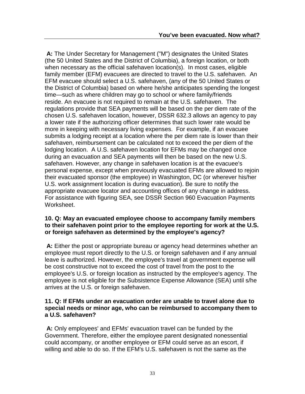**A:** The Under Secretary for Management ("M") designates the United States (the 50 United States and the District of Columbia), a foreign location, or both when necessary as the official safehaven location(s). In most cases, eligible family member (EFM) evacuees are directed to travel to the U.S. safehaven. An EFM evacuee should select a U.S. safehaven, (any of the 50 United States or the District of Columbia) based on where he/she anticipates spending the longest time—such as where children may go to school or where family/friends reside. An evacuee is not required to remain at the U.S. safehaven. The regulations provide that SEA payments will be based on the per diem rate of the chosen U.S. safehaven location, however, DSSR 632.3 allows an agency to pay a lower rate if the authorizing officer determines that such lower rate would be more in keeping with necessary living expenses. For example, if an evacuee submits a lodging receipt at a location where the per diem rate is lower than their safehaven, reimbursement can be calculated not to exceed the per diem of the lodging location. A U.S. safehaven location for EFMs may be changed once during an evacuation and SEA payments will then be based on the new U.S. safehaven. However, any change in safehaven location is at the evacuee's personal expense, except when previously evacuated EFMs are allowed to rejoin their evacuated sponsor (the employee) in Washington, DC (or wherever his/her U.S. work assignment location is during evacuation). Be sure to notify the appropriate evacuee locator and accounting offices of any change in address. For assistance with figuring SEA, see DSSR Section 960 Evacuation Payments Worksheet.

#### **10. Q: May an evacuated employee choose to accompany family members to their safehaven point prior to the employee reporting for work at the U.S. or foreign safehaven as determined by the employee's agency?**

**A:** Either the post or appropriate bureau or agency head determines whether an employee must report directly to the U.S. or foreign safehaven and if any annual leave is authorized. However, the employee's travel at government expense will be cost constructive not to exceed the cost of travel from the post to the employee's U.S. or foreign location as instructed by the employee's agency. The employee is not eligible for the Subsistence Expense Allowance (SEA) until s/he arrives at the U.S. or foreign safehaven.

#### **11. Q: If EFMs under an evacuation order [are unable to travel alone due to](http://aoprals.a.state.gov/content.asp?content_id=164&menu_id=75#11)  [special needs or minor age, who can be reimbursed to accompany them](http://aoprals.a.state.gov/content.asp?content_id=164&menu_id=75#11) to a U.S. [safehaven?](http://aoprals.a.state.gov/content.asp?content_id=164&menu_id=75#11)**

**A:** Only employees' and EFMs' evacuation travel can be funded by the Government. Therefore, either the employee parent designated nonessential could accompany, or another employee or EFM could serve as an escort, if willing and able to do so. If the EFM's U.S. safehaven is not the same as the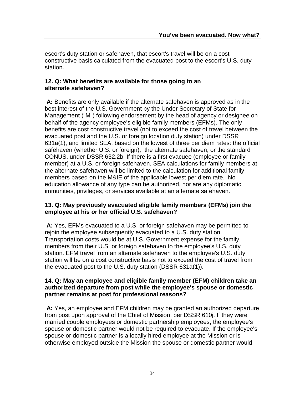escort's duty station or safehaven, that escort's travel will be on a costconstructive basis calculated from the evacuated post to the escort's U.S. duty station.

#### **12. Q: What benefits are available for those going to an alternate safehaven?**

**A:** Benefits are only available if the alternate safehaven is approved as in the best interest of the U.S. Government by the Under Secretary of State for Management ("M") following endorsement by the head of agency or designee on behalf of the agency employee's eligible family members (EFMs). The only benefits are cost constructive travel (not to exceed the cost of travel between the evacuated post and the U.S. or foreign location duty station) under DSSR 631a(1), and limited SEA, based on the lowest of three per diem rates: the official safehaven (whether U.S. or foreign), the alternate safehaven, or the standard CONUS, under DSSR 632.2b. If there is a first evacuee (employee or family member) at a U.S. or foreign safehaven, SEA calculations for family members at the alternate safehaven will be limited to the calculation for additional family members based on the M&IE of the applicable lowest per diem rate. No education allowance of any type can be authorized, nor are any diplomatic immunities, privileges, or services available at an alternate safehaven.

#### **13. Q: May previously evacuated eligible family members (EFMs) join the employee at his or her official U.S. safehaven?**

**A:** Yes, EFMs evacuated to a U.S. or foreign safehaven may be permitted to rejoin the employee subsequently evacuated to a U.S. duty station. Transportation costs would be at U.S. Government expense for the family members from their U.S. or foreign safehaven to the employee's U.S. duty station. EFM travel from an alternate safehaven to the employee's U.S. duty station will be on a cost constructive basis not to exceed the cost of travel from the evacuated post to the U.S. duty station (DSSR 631a(1)).

#### **14. Q: May an employee and eligible family member (EFM) children take an authorized departure from post while the employee's spouse or domestic partner remains at post for professional reasons?**

**A:** Yes, an employee and EFM children may be granted an authorized departure from post upon approval of the Chief of Mission, per DSSR 610j. If they were married couple employees or domestic partnership employees, the employee's spouse or domestic partner would not be required to evacuate. If the employee's spouse or domestic partner is a locally hired employee at the Mission or is otherwise employed outside the Mission the spouse or domestic partner would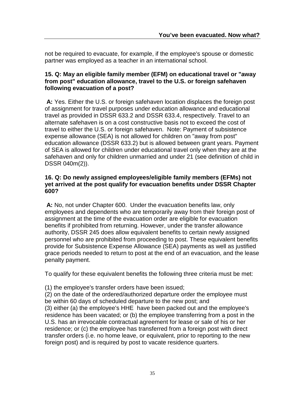not be required to evacuate, for example, if the employee's spouse or domestic partner was employed as a teacher in an international school.

#### **15. Q: May an eligible family member (EFM) on educational travel or "away from post" education allowance, travel to the U.S. or foreign safehaven following evacuation of a post?**

**A:** Yes. Either the U.S. or foreign safehaven location displaces the foreign post of assignment for travel purposes under education allowance and educational travel as provided in DSSR 633.2 and DSSR 633.4, respectively. Travel to an alternate safehaven is on a cost constructive basis not to exceed the cost of travel to either the U.S. or foreign safehaven. Note: Payment of subsistence expense allowance (SEA) is not allowed for children on "away from post" education allowance (DSSR 633.2) but is allowed between grant years. Payment of SEA is allowed for children under educational travel only when they are at the safehaven and only for children unmarried and under 21 (see definition of child in DSSR 040m(2)).

#### **16. Q: Do newly assigned employees/eligible family members (EFMs) not yet arrived at the post qualify for evacuation benefits under DSSR Chapter 600?**

**A:** No, not under Chapter 600. Under the evacuation benefits law, only employees and dependents who are temporarily away from their foreign post of assignment at the time of the evacuation order are eligible for evacuation benefits if prohibited from returning. However, under the transfer allowance authority, DSSR 245 does allow equivalent benefits to certain newly assigned personnel who are prohibited from proceeding to post. These equivalent benefits provide for Subsistence Expense Allowance (SEA) payments as well as justified grace periods needed to return to post at the end of an evacuation, and the lease penalty payment.

To qualify for these equivalent benefits the following three criteria must be met:

(1) the employee's transfer orders have been issued;

(2) on the date of the ordered/authorized departure order the employee must be within 60 days of scheduled departure to the new post; and (3) either (a) the employee's HHE have been packed out and the employee's residence has been vacated; or (b) the employee transferring from a post in the U.S. has an irrevocable contractual agreement for lease or sale of his or her residence; or (c) the employee has transferred from a foreign post with direct transfer orders (i.e. no home leave, or equivalent, prior to reporting to the new foreign post) and is required by post to vacate residence quarters.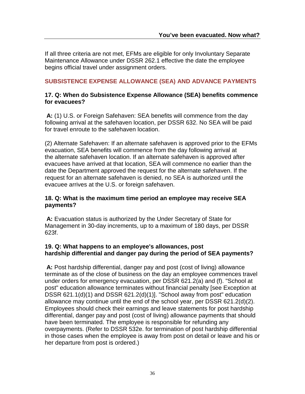If all three criteria are not met, EFMs are eligible for only Involuntary Separate Maintenance Allowance under DSSR 262.1 effective the date the employee begins official travel under assignment orders.

#### **SUBSISTENCE EXPENSE ALLOWANCE (SEA) AND ADVANCE PAYMENTS**

#### **17. Q: When do Subsistence Expense Allowance (SEA) benefits commence for evacuees?**

**A:** (1) U.S. or Foreign Safehaven: SEA benefits will commence from the day following arrival at the safehaven location, per DSSR 632. No SEA will be paid for travel enroute to the safehaven location.

(2) Alternate Safehaven: If an alternate safehaven is approved prior to the EFMs evacuation, SEA benefits will commence from the day following arrival at the alternate safehaven location. If an alternate safehaven is approved after evacuees have arrived at that location, SEA will commence no earlier than the date the Department approved the request for the alternate safehaven. If the request for an alternate safehaven is denied, no SEA is authorized until the evacuee arrives at the U.S. or foreign safehaven.

#### **18. Q: What is the maximum time period an employee may receive SEA payments?**

**A:** Evacuation status is authorized by the Under Secretary of State for Management in 30-day increments, up to a maximum of 180 days, per DSSR 623f.

#### **19. Q: What happens to an employee's allowances, post hardship differential and danger pay during the period of SEA payments?**

**A:** Post hardship differential, danger pay and post (cost of living) allowance terminate as of the close of business on the day an employee commences travel under orders for emergency evacuation, per DSSR 621.2(a) and (f). "School at post" education allowance terminates without financial penalty [see Exception at DSSR 621.1(d)(1) and DSSR 621.2(d)(1)]. "School away from post" education allowance may continue until the end of the school year, per DSSR 621.2(d)(2). Employees should check their earnings and leave statements for post hardship differential, danger pay and post (cost of living) allowance payments that should have been terminated. The employee is responsible for refunding any overpayments. (Refer to DSSR 532e. for termination of post hardship differential in those cases when the employee is away from post on detail or leave and his or her departure from post is ordered.)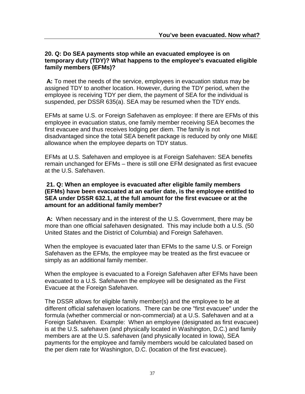#### **20. Q: Do SEA payments stop while an evacuated employee is on temporary duty (TDY)? What happens to the employee's evacuated eligible family members (EFMs)?**

**A:** To meet the needs of the service, employees in evacuation status may be assigned TDY to another location. However, during the TDY period, when the employee is receiving TDY per diem, the payment of SEA for the individual is suspended, per DSSR 635(a). SEA may be resumed when the TDY ends.

EFMs at same U.S. or Foreign Safehaven as employee: If there are EFMs of this employee in evacuation status, one family member receiving SEA becomes the first evacuee and thus receives lodging per diem. The family is not disadvantaged since the total SEA benefit package is reduced by only one MI&E allowance when the employee departs on TDY status.

EFMs at U.S. Safehaven and employee is at Foreign Safehaven: SEA benefits remain unchanged for EFMs – there is still one EFM designated as first evacuee at the U.S. Safehaven.

#### **21. Q: When an employee is evacuated after eligible family members (EFMs) have been evacuated at an earlier date, is the employee entitled to SEA under DSSR 632.1, at the full amount for the first evacuee or at the amount for an additional family member?**

**A:** When necessary and in the interest of the U.S. Government, there may be more than one official safehaven designated. This may include both a U.S. (50 United States and the District of Columbia) and Foreign Safehaven.

When the employee is evacuated later than EFMs to the same U.S. or Foreign Safehaven as the EFMs, the employee may be treated as the first evacuee or simply as an additional family member.

When the employee is evacuated to a Foreign Safehaven after EFMs have been evacuated to a U.S. Safehaven the employee will be designated as the First Evacuee at the Foreign Safehaven.

The DSSR allows for eligible family member(s) and the employee to be at different official safehaven locations. There can be one "first evacuee" under the formula (whether commercial or non-commercial) at a U.S. Safehaven and at a Foreign Safehaven. Example: When an employee (designated as first evacuee) is at the U.S. safehaven (and physically located in Washington, D.C.) and family members are at the U.S. safehaven (and physically located in Iowa), SEA payments for the employee and family members would be calculated based on the per diem rate for Washington, D.C. (location of the first evacuee).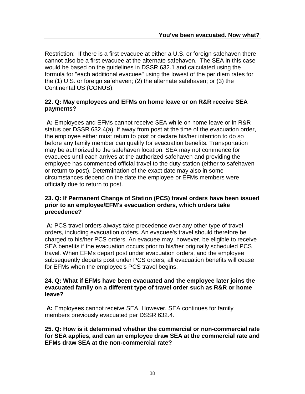Restriction: If there is a first evacuee at either a U.S. or foreign safehaven there cannot also be a first evacuee at the alternate safehaven. The SEA in this case would be based on the guidelines in DSSR 632.1 and calculated using the formula for "each additional evacuee" using the lowest of the per diem rates for the (1) U.S. or foreign safehaven; (2) the alternate safehaven; or (3) the Continental US (CONUS).

#### **22. Q: May employees and EFMs on home leave or on R&R receive SEA payments?**

**A:** Employees and EFMs cannot receive SEA while on home leave or in R&R status per DSSR 632.4(a). If away from post at the time of the evacuation order, the employee either must return to post or declare his/her intention to do so before any family member can qualify for evacuation benefits. Transportation may be authorized to the safehaven location. SEA may not commence for evacuees until each arrives at the authorized safehaven and providing the employee has commenced official travel to the duty station (either to safehaven or return to post). Determination of the exact date may also in some circumstances depend on the date the employee or EFMs members were officially due to return to post.

#### **23. Q: If Permanent Change of Station (PCS) travel orders have been issued prior to an employee/EFM's evacuation orders, which orders take precedence?**

**A:** PCS travel orders always take precedence over any other type of travel orders, including evacuation orders. An evacuee's travel should therefore be charged to his/her PCS orders. An evacuee may, however, be eligible to receive SEA benefits if the evacuation occurs prior to his/her originally scheduled PCS travel. When EFMs depart post under evacuation orders, and the employee subsequently departs post under PCS orders, all evacuation benefits will cease for EFMs when the employee's PCS travel begins.

#### **24. Q: What if EFMs have been evacuated and the employee later joins the evacuated family on a different type of travel order such as R&R or home leave?**

**A:** Employees cannot receive SEA. However, SEA continues for family members previously evacuated per DSSR 632.4.

**25. Q: How is it determined whether the commercial or non-commercial rate for SEA applies, and can an employee draw SEA at the commercial rate and EFMs draw SEA at the non-commercial rate?**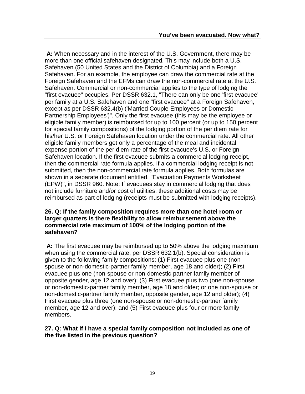**A:** When necessary and in the interest of the U.S. Government, there may be more than one official safehaven designated. This may include both a U.S. Safehaven (50 United States and the District of Columbia) and a Foreign Safehaven. For an example, the employee can draw the commercial rate at the Foreign Safehaven and the EFMs can draw the non-commercial rate at the U.S. Safehaven. Commercial or non-commercial applies to the type of lodging the "first evacuee" occupies. Per DSSR 632.1, "There can only be one 'first evacuee' per family at a U.S. Safehaven and one "first evacuee" at a Foreign Safehaven, except as per DSSR 632.4(b) ('Married Couple Employees or Domestic Partnership Employees')". Only the first evacuee (this may be the employee or eligible family member) is reimbursed for up to 100 percent (or up to 150 percent for special family compositions) of the lodging portion of the per diem rate for his/her U.S. or Foreign Safehaven location under the commercial rate. All other eligible family members get only a percentage of the meal and incidental expense portion of the per diem rate of the first evacuee's U.S. or Foreign Safehaven location. If the first evacuee submits a commercial lodging receipt, then the commercial rate formula applies. If a commercial lodging receipt is not submitted, then the non-commercial rate formula applies. Both formulas are shown in a separate document entitled, "Evacuation Payments Worksheet (EPW)", in DSSR 960. Note: If evacuees stay in commercial lodging that does not include furniture and/or cost of utilities, these additional costs may be reimbursed as part of lodging (receipts must be submitted with lodging receipts).

#### **26. Q: If the family composition requires more than one hotel room or larger quarters is there flexibility to allow reimbursement above the commercial rate maximum of 100% of the lodging portion of the safehaven?**

**A:** The first evacuee may be reimbursed up to 50% above the lodging maximum when using the commercial rate, per DSSR 632.1(b). Special consideration is given to the following family compositions: (1) First evacuee plus one (nonspouse or non-domestic-partner family member, age 18 and older); (2) First evacuee plus one (non-spouse or non-domestic-partner family member of opposite gender, age 12 and over); (3) First evacuee plus two (one non-spouse or non-domestic-partner family member, age 18 and older; or one non-spouse or non-domestic-partner family member, opposite gender, age 12 and older); (4) First evacuee plus three (one non-spouse or non-domestic-partner family member, age 12 and over); and (5) First evacuee plus four or more family members.

#### **27. Q: What if I have a special family composition not included as one of the five listed in the previous question?**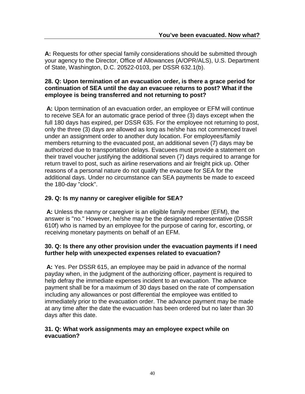**A:** Requests for other special family considerations should be submitted through your agency to the Director, Office of Allowances (A/OPR/ALS), U.S. Department of State, Washington, D.C. 20522-0103, per DSSR 632.1(b).

#### **28. Q: Upon termination of an evacuation order, is there a grace period for continuation of SEA until the day an evacuee returns to post? What if the employee is being transferred and not returning to post?**

**A:** Upon termination of an evacuation order, an employee or EFM will continue to receive SEA for an automatic grace period of three (3) days except when the full 180 days has expired, per DSSR 635. For the employee not returning to post, only the three (3) days are allowed as long as he/she has not commenced travel under an assignment order to another duty location. For employees/family members returning to the evacuated post, an additional seven (7) days may be authorized due to transportation delays. Evacuees must provide a statement on their travel voucher justifying the additional seven (7) days required to arrange for return travel to post, such as airline reservations and air freight pick up. Other reasons of a personal nature do not qualify the evacuee for SEA for the additional days. Under no circumstance can SEA payments be made to exceed the 180-day "clock".

#### **29. Q: Is my nanny or caregiver eligible for SEA?**

**A:** Unless the nanny or caregiver is an eligible family member (EFM), the answer is "no." However, he/she may be the designated representative (DSSR 610f) who is named by an employee for the purpose of caring for, escorting, or receiving monetary payments on behalf of an EFM.

#### **30. Q: Is there any other provision under the evacuation payments if I need further help with unexpected expenses related to evacuation?**

**A:** Yes. Per DSSR 615, an employee may be paid in advance of the normal payday when, in the judgment of the authorizing officer, payment is required to help defray the immediate expenses incident to an evacuation. The advance payment shall be for a maximum of 30 days based on the rate of compensation including any allowances or post differential the employee was entitled to immediately prior to the evacuation order. The advance payment may be made at any time after the date the evacuation has been ordered but no later than 30 days after this date.

#### **31. Q: What work assignments may an employee expect while on evacuation?**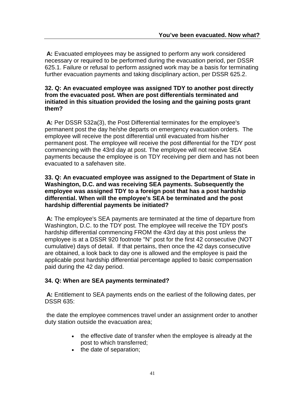**A:** Evacuated employees may be assigned to perform any work considered necessary or required to be performed during the evacuation period, per DSSR 625.1. Failure or refusal to perform assigned work may be a basis for terminating further evacuation payments and taking disciplinary action, per DSSR 625.2.

#### **32. Q: An evacuated employee was assigned TDY to another post directly from the evacuated post. When are post differentials terminated and initiated in this situation provided the losing and the gaining posts grant them?**

**A:** Per DSSR 532a(3), the Post Differential terminates for the employee's permanent post the day he/she departs on emergency evacuation orders. The employee will receive the post differential until evacuated from his/her permanent post. The employee will receive the post differential for the TDY post commencing with the 43rd day at post. The employee will not receive SEA payments because the employee is on TDY receiving per diem and has not been evacuated to a safehaven site.

#### **33. Q: An evacuated employee was assigned to the Department of State in Washington, D.C. and was receiving SEA payments. Subsequently the employee was assigned TDY to a foreign post that has a post hardship differential. When will the employee's SEA be terminated and the post hardship differential payments be initiated?**

**A:** The employee's SEA payments are terminated at the time of departure from Washington, D.C. to the TDY post. The employee will receive the TDY post's hardship differential commencing FROM the 43rd day at this post unless the employee is at a DSSR 920 footnote "N" post for the first 42 consecutive (NOT cumulative) days of detail. If that pertains, then once the 42 days consecutive are obtained, a look back to day one is allowed and the employee is paid the applicable post hardship differential percentage applied to basic compensation paid during the 42 day period.

#### **34. Q: When are SEA payments terminated?**

**A:** Entitlement to SEA payments ends on the earliest of the following dates, per DSSR 635:

the date the employee commences travel under an assignment order to another duty station outside the evacuation area;

- the effective date of transfer when the employee is already at the post to which transferred;
- the date of separation;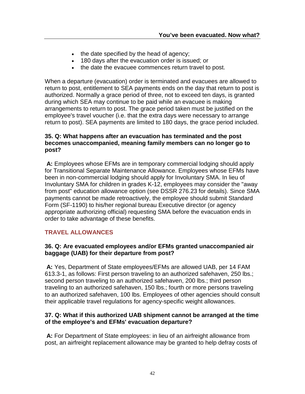- the date specified by the head of agency;
- 180 days after the evacuation order is issued; or
- the date the evacuee commences return travel to post.

When a departure (evacuation) order is terminated and evacuees are allowed to return to post, entitlement to SEA payments ends on the day that return to post is authorized. Normally a grace period of three, not to exceed ten days, is granted during which SEA may continue to be paid while an evacuee is making arrangements to return to post. The grace period taken must be justified on the employee's travel voucher (i.e. that the extra days were necessary to arrange return to post). SEA payments are limited to 180 days, the grace period included.

#### **35. Q: What happens after an evacuation has terminated and the post becomes unaccompanied, meaning family members can no longer go to post?**

**A:** Employees whose EFMs are in temporary commercial lodging should apply for Transitional Separate Maintenance Allowance. Employees whose EFMs have been in non-commercial lodging should apply for Involuntary SMA. In lieu of Involuntary SMA for children in grades K-12, employees may consider the "away from post" education allowance option (see DSSR 276.23 for details). Since SMA payments cannot be made retroactively, the employee should submit Standard Form (SF-1190) to his/her regional bureau Executive director (or agency appropriate authorizing official) requesting SMA before the evacuation ends in order to take advantage of these benefits.

#### **TRAVEL ALLOWANCES**

#### **36. Q: Are evacuated employees and/or EFMs granted unaccompanied air baggage (UAB) for their departure from post?**

**A:** Yes, Department of State employees/EFMs are allowed UAB, per 14 FAM 613.3-1, as follows: First person traveling to an authorized safehaven, 250 lbs.; second person traveling to an authorized safehaven, 200 lbs.; third person traveling to an authorized safehaven, 150 lbs.; fourth or more persons traveling to an authorized safehaven, 100 lbs. Employees of other agencies should consult their applicable travel regulations for agency-specific weight allowances.

#### **37. Q: What if this authorized UAB shipment cannot be arranged at the time of the employee's and EFMs' evacuation departure?**

**A:** For Department of State employees: in lieu of an airfreight allowance from post, an airfreight replacement allowance may be granted to help defray costs of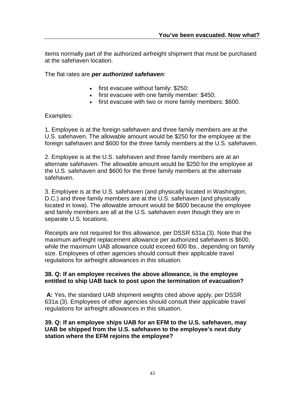items normally part of the authorized airfreight shipment that must be purchased at the safehaven location.

The flat rates are *per authorized safehaven*:

- first evacuee without family: \$250;
- first evacuee with one family member: \$450;
- first evacuee with two or more family members: \$600.

Examples:

1. Employee is at the foreign safehaven and three family members are at the U.S. safehaven. The allowable amount would be \$250 for the employee at the foreign safehaven and \$600 for the three family members at the U.S. safehaven.

2. Employee is at the U.S. safehaven and three family members are at an alternate safehaven. The allowable amount would be \$250 for the employee at the U.S. safehaven and \$600 for the three family members at the alternate safehaven.

3. Employee is at the U.S. safehaven (and physically located in Washington, D.C.) and three family members are at the U.S. safehaven (and physically located in Iowa). The allowable amount would be \$600 because the employee and family members are all at the U.S. safehaven even though they are in separate U.S. locations.

Receipts are not required for this allowance, per DSSR 631a.(3). Note that the maximum airfreight replacement allowance per authorized safehaven is \$600, while the maximum UAB allowance could exceed 600 lbs., depending on family size. Employees of other agencies should consult their applicable travel regulations for airfreight allowances in this situation.

#### **38. Q: If an employee receives the above allowance, is the employee entitled to ship UAB back to post upon the termination of evacuation?**

**A:** Yes, the standard UAB shipment weights cited above apply, per DSSR 631a.(3). Employees of other agencies should consult their applicable travel regulations for airfreight allowances in this situation.

#### **39. Q: If an employee ships UAB for an EFM to the U.S. safehaven, may UAB be shipped from the U.S. safehaven to the employee's next duty station where the EFM rejoins the employee?**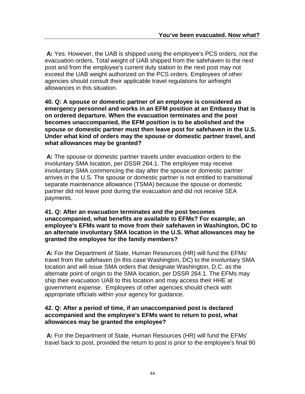**A:** Yes. However, the UAB is shipped using the employee's PCS orders, not the evacuation orders. Total weight of UAB shipped from the safehaven to the next post and from the employee's current duty station to the next post may not exceed the UAB weight authorized on the PCS orders. Employees of other agencies should consult their applicable travel regulations for airfreight allowances in this situation.

**40. Q: A spouse or domestic partner of an employee is considered as emergency personnel and works in an EFM position at an Embassy that is on ordered departure. When the evacuation terminates and the post becomes unaccompanied, the EFM position is to be abolished and the spouse or domestic partner must then leave post for safehaven in the U.S. Under what kind of orders may the spouse or domestic partner travel, and what allowances may be granted?**

**A:** The spouse or domestic partner travels under evacuation orders to the involuntary SMA location, per DSSR 264.1. The employee may receive involuntary SMA commencing the day after the spouse or domestic partner arrives in the U.S. The spouse or domestic partner is not entitled to transitional separate maintenance allowance (TSMA) because the spouse or domestic partner did not leave post during the evacuation and did not receive SEA payments.

#### **41. Q: After an evacuation terminates and the post becomes unaccompanied, what benefits are available to EFMs? For example, an employee's EFMs want to move from their safehaven in Washington, DC to an alternate involuntary SMA location in the U.S. What allowances may be granted the employee for the family members?**

**A:** For the Department of State, Human Resources (HR) will fund the EFMs' travel from the safehaven (in this case Washington, DC) to the involuntary SMA location and will issue SMA orders that designate Washington, D.C. as the alternate point of origin to the SMA location, per DSSR 264.1. The EFMs may ship their evacuation UAB to this location and may access their HHE at government expense. Employees of other agencies should check with appropriate officials within your agency for guidance.

#### **42. Q: After a period of time, if an unaccompanied post is declared accompanied and the employee's EFMs want to return to post, what allowances may be granted the employee?**

**A:** For the Department of State, Human Resources (HR) will fund the EFMs' travel back to post, provided the return to post is prior to the employee's final 90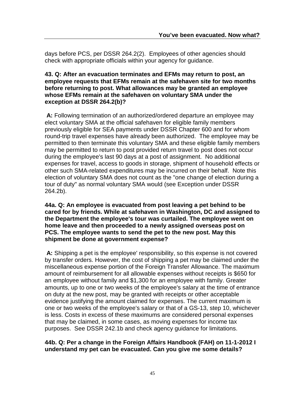days before PCS, per DSSR 264.2(2). Employees of other agencies should check with appropriate officials within your agency for guidance.

#### **43. Q: After an evacuation terminates and EFMs may return to post, an employee requests that EFMs remain at the safehaven site for two months before returning to post. What allowances may be granted an employee whose EFMs remain at the safehaven on voluntary SMA under the exception at DSSR 264.2(b)?**

**A:** Following termination of an authorized/ordered departure an employee may elect voluntary SMA at the official safehaven for eligible family members previously eligible for SEA payments under DSSR Chapter 600 and for whom round-trip travel expenses have already been authorized. The employee may be permitted to then terminate this voluntary SMA and these eligible family members may be permitted to return to post provided return travel to post does not occur during the employee's last 90 days at a post of assignment. No additional expenses for travel, access to goods in storage, shipment of household effects or other such SMA-related expenditures may be incurred on their behalf. Note this election of voluntary SMA does not count as the "one change of election during a tour of duty" as normal voluntary SMA would (see Exception under DSSR 264.2b).

**44a. Q: An employee is evacuated from post leaving a pet behind to be cared for by friends. While at safehaven in Washington, DC and assigned to the Department the employee's tour was curtailed. The employee went on home leave and then proceeded to a newly assigned overseas post on PCS. The employee wants to send the pet to the new post. May this shipment be done at government expense?**

**A:** Shipping a pet is the employee' responsibility, so this expense is not covered by transfer orders. However, the cost of shipping a pet may be claimed under the miscellaneous expense portion of the Foreign Transfer Allowance. The maximum amount of reimbursement for all allowable expenses without receipts is \$650 for an employee without family and \$1,300 for an employee with family. Greater amounts, up to one or two weeks of the employee's salary at the time of entrance on duty at the new post, may be granted with receipts or other acceptable evidence justifying the amount claimed for expenses. The current maximum is one or two weeks of the employee's salary or that of a GS-13, step 10, whichever is less. Costs in excess of these maximums are considered personal expenses that may be claimed, in some cases, as moving expenses for income tax purposes. See DSSR 242.1b and check agency guidance for limitations.

#### **44b. Q: Per a change in the Foreign Affairs Handbook (FAH) on 11-1-2012 I understand my pet can be evacuated. Can you give me some details?**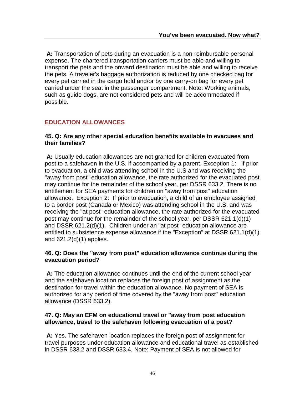**A:** Transportation of pets during an evacuation is a non-reimbursable personal expense. The chartered transportation carriers must be able and willing to transport the pets and the onward destination must be able and willing to receive the pets. A traveler's baggage authorization is reduced by one checked bag for every pet carried in the cargo hold and/or by one carry-on bag for every pet carried under the seat in the passenger compartment. Note: Working animals, such as guide dogs, are not considered pets and will be accommodated if possible.

### **EDUCATION ALLOWANCES**

#### **45. Q: Are any other special education benefits available to evacuees and their families?**

**A:** Usually education allowances are not granted for children evacuated from post to a safehaven in the U.S. if accompanied by a parent. Exception 1: If prior to evacuation, a child was attending school in the U.S and was receiving the "away from post" education allowance, the rate authorized for the evacuated post may continue for the remainder of the school year, per DSSR 633.2. There is no entitlement for SEA payments for children on "away from post" education allowance. Exception 2: If prior to evacuation, a child of an employee assigned to a border post (Canada or Mexico) was attending school in the U.S. and was receiving the "at post" education allowance, the rate authorized for the evacuated post may continue for the remainder of the school year, per DSSR 621.1(d)(1) and DSSR 621.2(d)(1). Children under an "at post" education allowance are entitled to subsistence expense allowance if the "Exception" at DSSR 621.1(d)(1) and 621.2(d)(1) applies.

#### **46. Q: Does the "away from post" education allowance continue during the evacuation period?**

**A:** The education allowance continues until the end of the current school year and the safehaven location replaces the foreign post of assignment as the destination for travel within the education allowance. No payment of SEA is authorized for any period of time covered by the "away from post" education allowance (DSSR 633.2).

#### **47. Q: May an EFM on educational travel or "away from post education allowance, travel to the safehaven following evacuation of a post?**

**A:** Yes. The safehaven location replaces the foreign post of assignment for travel purposes under education allowance and educational travel as established in DSSR 633.2 and DSSR 633.4. Note: Payment of SEA is not allowed for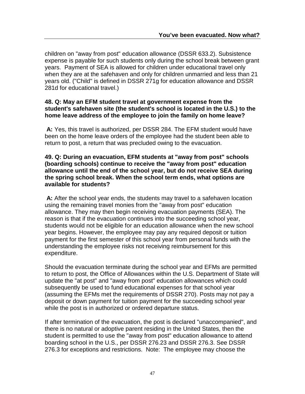children on "away from post" education allowance (DSSR 633.2). Subsistence expense is payable for such students only during the school break between grant years. Payment of SEA is allowed for children under educational travel only when they are at the safehaven and only for children unmarried and less than 21 years old. ("Child" is defined in DSSR 271g for education allowance and DSSR 281d for educational travel.)

#### **48. Q: May an EFM student travel at government expense from the student's safehaven site (the student's school is located in the U.S.) to the home leave address of the employee to join the family on home leave?**

**A:** Yes, this travel is authorized, per DSSR 284. The EFM student would have been on the home leave orders of the employee had the student been able to return to post, a return that was precluded owing to the evacuation.

#### **49. Q: During an evacuation, EFM students at "away from post" schools (boarding schools) continue to receive the "away from post" education allowance until the end of the school year, but do not receive SEA during the spring school break. When the school term ends, what options are available for students?**

**A:** After the school year ends, the students may travel to a safehaven location using the remaining travel monies from the "away from post" education allowance. They may then begin receiving evacuation payments (SEA). The reason is that if the evacuation continues into the succeeding school year, students would not be eligible for an education allowance when the new school year begins. However, the employee may pay any required deposit or tuition payment for the first semester of this school year from personal funds with the understanding the employee risks not receiving reimbursement for this expenditure.

Should the evacuation terminate during the school year and EFMs are permitted to return to post, the Office of Allowances within the U.S. Department of State will update the "at post" and "away from post" education allowances which could subsequently be used to fund educational expenses for that school year (assuming the EFMs met the requirements of DSSR 270). Posts may not pay a deposit or down payment for tuition payment for the succeeding school year while the post is in authorized or ordered departure status.

If after termination of the evacuation, the post is declared "unaccompanied", and there is no natural or adoptive parent residing in the United States, then the student is permitted to use the "away from post" education allowance to attend boarding school in the U.S., per DSSR 276.23 and DSSR 276.3. See DSSR 276.3 for exceptions and restrictions. Note: The employee may choose the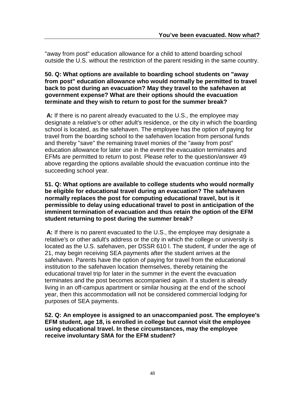"away from post" education allowance for a child to attend boarding school outside the U.S. without the restriction of the parent residing in the same country.

#### **50. Q: What options are available to boarding school students on "away from post" education allowance who would normally be permitted to travel back to post during an evacuation? May they travel to the safehaven at government expense? What are their options should the evacuation terminate and they wish to return to post for the summer break?**

**A:** If there is no parent already evacuated to the U.S., the employee may designate a relative's or other adult's residence, or the city in which the boarding school is located, as the safehaven. The employee has the option of paying for travel from the boarding school to the safehaven location from personal funds and thereby "save" the remaining travel monies of the "away from post" education allowance for later use in the event the evacuation terminates and EFMs are permitted to return to post. Please refer to the question/answer 49 above regarding the options available should the evacuation continue into the succeeding school year.

**51. Q: What options are available to college students who would normally be eligible for educational travel during an evacuation? The safehaven normally replaces the post for computing educational travel, but is it permissible to delay using educational travel to post in anticipation of the imminent termination of evacuation and thus retain the option of the EFM student returning to post during the summer break?**

**A:** If there is no parent evacuated to the U.S., the employee may designate a relative's or other adult's address or the city in which the college or university is located as the U.S. safehaven, per DSSR 610 l. The student, if under the age of 21, may begin receiving SEA payments after the student arrives at the safehaven. Parents have the option of paying for travel from the educational institution to the safehaven location themselves, thereby retaining the educational travel trip for later in the summer in the event the evacuation terminates and the post becomes accompanied again. If a student is already living in an off-campus apartment or similar housing at the end of the school year, then this accommodation will not be considered commercial lodging for purposes of SEA payments.

**52. Q: An employee is assigned to an unaccompanied post. The employee's EFM student, age 18, is enrolled in college but cannot visit the employee using educational travel. In these circumstances, may the employee receive involuntary SMA for the EFM student?**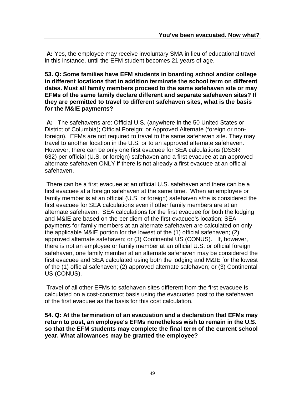**A:** Yes, the employee may receive involuntary SMA in lieu of educational travel in this instance, until the EFM student becomes 21 years of age.

**53. Q: Some families have EFM students in boarding school and/or college in different locations that in addition terminate the school term on different dates. Must all family members proceed to the same safehaven site or may EFMs of the same family declare different and separate safehaven sites? If they are permitted to travel to different safehaven sites, what is the basis for the M&IE payments?**

**A:** The safehavens are: Official U.S. (anywhere in the 50 United States or District of Columbia); Official Foreign; or Approved Alternate (foreign or nonforeign). EFMs are not required to travel to the same safehaven site. They may travel to another location in the U.S. or to an approved alternate safehaven. However, there can be only one first evacuee for SEA calculations (DSSR 632) per official (U.S. or foreign) safehaven and a first evacuee at an approved alternate safehaven ONLY if there is not already a first evacuee at an official safehaven.

There can be a first evacuee at an official U.S. safehaven and there can be a first evacuee at a foreign safehaven at the same time. When an employee or family member is at an official (U.S. or foreign) safehaven s/he is considered the first evacuee for SEA calculations even if other family members are at an alternate safehaven. SEA calculations for the first evacuee for both the lodging and M&IE are based on the per diem of the first evacuee's location; SEA payments for family members at an alternate safehaven are calculated on only the applicable M&IE portion for the lowest of the (1) official safehaven; (2) approved alternate safehaven; or (3) Continental US (CONUS). If, however, there is not an employee or family member at an official U.S. or official foreign safehaven, one family member at an alternate safehaven may be considered the first evacuee and SEA calculated using both the lodging and M&IE for the lowest of the (1) official safehaven; (2) approved alternate safehaven; or (3) Continental US (CONUS).

Travel of all other EFMs to safehaven sites different from the first evacuee is calculated on a cost-construct basis using the evacuated post to the safehaven of the first evacuee as the basis for this cost calculation.

**54. Q: At the termination of an evacuation and a declaration that EFMs may return to post, an employee's EFMs nonetheless wish to remain in the U.S. so that the EFM students may complete the final term of the current school year. What allowances may be granted the employee?**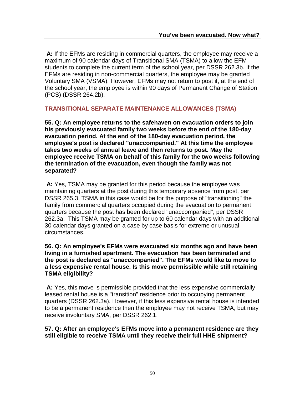**A:** If the EFMs are residing in commercial quarters, the employee may receive a maximum of 90 calendar days of Transitional SMA (TSMA) to allow the EFM students to complete the current term of the school year, per DSSR 262.3b. If the EFMs are residing in non-commercial quarters, the employee may be granted Voluntary SMA (VSMA). However, EFMs may not return to post if, at the end of the school year, the employee is within 90 days of Permanent Change of Station (PCS) (DSSR 264.2b).

#### **TRANSITIONAL SEPARATE MAINTENANCE ALLOWANCES (TSMA)**

**55. Q: An employee returns to the safehaven on evacuation orders to join his previously evacuated family two weeks before the end of the 180-day evacuation period. At the end of the 180-day evacuation period, the employee's post is declared "unaccompanied." At this time the employee takes two weeks of annual leave and then returns to post. May the employee receive TSMA on behalf of this family for the two weeks following the termination of the evacuation, even though the family was not separated?**

**A:** Yes, TSMA may be granted for this period because the employee was maintaining quarters at the post during this temporary absence from post, per DSSR 265.3. TSMA in this case would be for the purpose of "transitioning" the family from commercial quarters occupied during the evacuation to permanent quarters because the post has been declared "unaccompanied", per DSSR 262.3a. This TSMA may be granted for up to 60 calendar days with an additional 30 calendar days granted on a case by case basis for extreme or unusual circumstances.

#### **56. Q: An employee's EFMs were evacuated six months ago and have been living in a furnished apartment. The evacuation has been terminated and the post is declared as "unaccompanied". The EFMs would like to move to a less expensive rental house. Is this move permissible while still retaining TSMA eligibility?**

**A:** Yes, this move is permissible provided that the less expensive commercially leased rental house is a "transition" residence prior to occupying permanent quarters (DSSR 262.3a). However, if this less expensive rental house is intended to be a permanent residence then the employee may not receive TSMA, but may receive involuntary SMA, per DSSR 262.1.

**57. Q: After an employee's EFMs move into a permanent residence are they still eligible to receive TSMA until they receive their full HHE shipment?**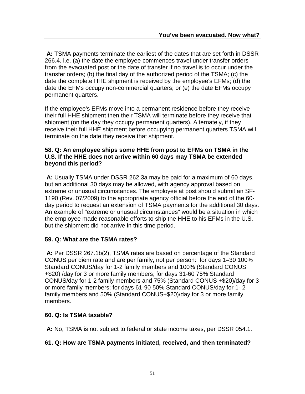**A:** TSMA payments terminate the earliest of the dates that are set forth in DSSR 266.4, i.e. (a) the date the employee commences travel under transfer orders from the evacuated post or the date of transfer if no travel is to occur under the transfer orders; (b) the final day of the authorized period of the TSMA; (c) the date the complete HHE shipment is received by the employee's EFMs; (d) the date the EFMs occupy non-commercial quarters; or (e) the date EFMs occupy permanent quarters.

If the employee's EFMs move into a permanent residence before they receive their full HHE shipment then their TSMA will terminate before they receive that shipment (on the day they occupy permanent quarters). Alternately, if they receive their full HHE shipment before occupying permanent quarters TSMA will terminate on the date they receive that shipment.

#### **58. Q: An employee ships some HHE from post to EFMs on TSMA in the U.S. If the HHE does not arrive within 60 days may TSMA be extended beyond this period?**

**A:** Usually TSMA under DSSR 262.3a may be paid for a maximum of 60 days, but an additional 30 days may be allowed, with agency approval based on extreme or unusual circumstances. The employee at post should submit an SF-1190 (Rev. 07/2009) to the appropriate agency official before the end of the 60 day period to request an extension of TSMA payments for the additional 30 days. An example of "extreme or unusual circumstances" would be a situation in which the employee made reasonable efforts to ship the HHE to his EFMs in the U.S. but the shipment did not arrive in this time period.

#### **59. Q: What are the TSMA rates?**

**A:** Per DSSR 267.1b(2), TSMA rates are based on percentage of the Standard CONUS per diem rate and are per family, not per person: for days 1–30 100% Standard CONUS/day for 1-2 family members and 100% (Standard CONUS +\$20) /day for 3 or more family members; for days 31-60 75% Standard CONUS/day for 1-2 family members and 75% (Standard CONUS +\$20)/day for 3 or more family members; for days 61-90 50% Standard CONUS/day for 1- 2 family members and 50% (Standard CONUS+\$20)/day for 3 or more family members.

#### **60. Q: Is TSMA taxable?**

**A:** No, TSMA is not subject to federal or state income taxes, per DSSR 054.1.

#### **61. Q: How are TSMA payments initiated, received, and then terminated?**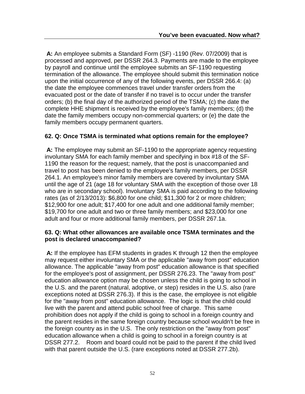**A:** An employee submits a Standard Form (SF) -1190 (Rev. 07/2009) that is processed and approved, per DSSR 264.3. Payments are made to the employee by payroll and continue until the employee submits an SF-1190 requesting termination of the allowance. The employee should submit this termination notice upon the initial occurrence of any of the following events, per DSSR 266.4: (a) the date the employee commences travel under transfer orders from the evacuated post or the date of transfer if no travel is to occur under the transfer orders; (b) the final day of the authorized period of the TSMA; (c) the date the complete HHE shipment is received by the employee's family members; (d) the date the family members occupy non-commercial quarters; or (e) the date the family members occupy permanent quarters.

#### **62. Q: Once TSMA is terminated what options remain for the employee?**

**A:** The employee may submit an SF-1190 to the appropriate agency requesting involuntary SMA for each family member and specifying in box #18 of the SF-1190 the reason for the request; namely, that the post is unaccompanied and travel to post has been denied to the employee's family members, per DSSR 264.1. An employee's minor family members are covered by involuntary SMA until the age of 21 (age 18 for voluntary SMA with the exception of those over 18 who are in secondary school). Involuntary SMA is paid according to the following rates (as of 2/13/2013): \$6,800 for one child; \$11,300 for 2 or more children; \$12,900 for one adult; \$17,400 for one adult and one additional family member; \$19,700 for one adult and two or three family members; and \$23,000 for one adult and four or more additional family members, per DSSR 267.1a.

#### **63. Q: What other allowances are available once TSMA terminates and the post is declared unaccompanied?**

**A:** If the employee has EFM students in grades K through 12 then the employee may request either involuntary SMA or the applicable "away from post" education allowance. The applicable "away from post" education allowance is that specified for the employee's post of assignment, per DSSR 276.23. The "away from post" education allowance option may be chosen unless the child is going to school in the U.S. and the parent (natural, adoptive, or step) resides in the U.S. also (rare exceptions noted at DSSR 276.3). If this is the case, the employee is not eligible for the "away from post" education allowance. The logic is that the child could live with the parent and attend public school free of charge. This same prohibition does not apply if the child is going to school in a foreign country and the parent resides in the same foreign country because school wouldn't be free in the foreign country as in the U.S. The only restriction on the "away from post" education allowance when a child is going to school in a foreign country is at DSSR 277.2. Room and board could not be paid to the parent if the child lived with that parent outside the U.S. (rare exceptions noted at DSSR 277.2b).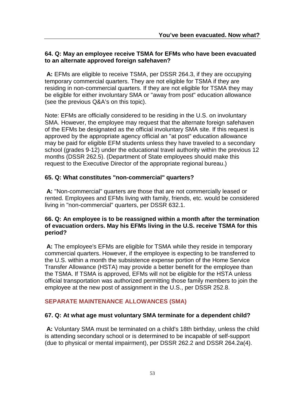#### **64. Q: May an employee receive TSMA for EFMs who have been evacuated to an alternate approved foreign safehaven?**

**A:** EFMs are eligible to receive TSMA, per DSSR 264.3, if they are occupying temporary commercial quarters. They are not eligible for TSMA if they are residing in non-commercial quarters. If they are not eligible for TSMA they may be eligible for either involuntary SMA or "away from post" education allowance (see the previous Q&A's on this topic).

Note: EFMs are officially considered to be residing in the U.S. on involuntary SMA. However, the employee may request that the alternate foreign safehaven of the EFMs be designated as the official involuntary SMA site. If this request is approved by the appropriate agency official an "at post" education allowance may be paid for eligible EFM students unless they have traveled to a secondary school (grades 9-12) under the educational travel authority within the previous 12 months (DSSR 262.5). (Department of State employees should make this request to the Executive Director of the appropriate regional bureau.)

#### **65. Q: What constitutes "non-commercial" quarters?**

**A:** "Non-commercial" quarters are those that are not commercially leased or rented. Employees and EFMs living with family, friends, etc. would be considered living in "non-commercial" quarters, per DSSR 632.1.

#### **66. Q: An employee is to be reassigned within a month after the termination of evacuation orders. May his EFMs living in the U.S. receive TSMA for this period?**

**A:** The employee's EFMs are eligible for TSMA while they reside in temporary commercial quarters. However, if the employee is expecting to be transferred to the U.S. within a month the subsistence expense portion of the Home Service Transfer Allowance (HSTA) may provide a better benefit for the employee than the TSMA. If TSMA is approved, EFMs will not be eligible for the HSTA unless official transportation was authorized permitting those family members to join the employee at the new post of assignment in the U.S., per DSSR 252.8.

### **SEPARATE MAINTENANCE ALLOWANCES (SMA)**

#### **67. Q: At what age must voluntary SMA terminate for a dependent child?**

**A:** Voluntary SMA must be terminated on a child's 18th birthday, unless the child is attending secondary school or is determined to be incapable of self-support (due to physical or mental impairment), per DSSR 262.2 and DSSR 264.2a(4).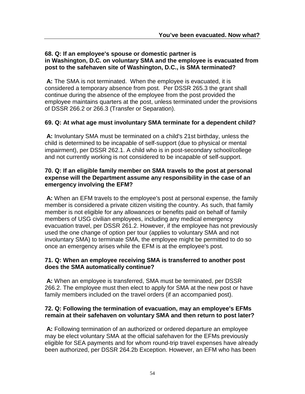#### **68. Q: If an employee's spouse or domestic partner is in Washington, D.C. on voluntary SMA and the employee is evacuated from post to the safehaven site of Washington, D.C., is SMA terminated?**

**A:** The SMA is not terminated. When the employee is evacuated, it is considered a temporary absence from post. Per DSSR 265.3 the grant shall continue during the absence of the employee from the post provided the employee maintains quarters at the post, unless terminated under the provisions of DSSR 266.2 or 266.3 (Transfer or Separation).

#### **69. Q: At what age must involuntary SMA terminate for a dependent child?**

**A:** Involuntary SMA must be terminated on a child's 21st birthday, unless the child is determined to be incapable of self-support (due to physical or mental impairment), per DSSR 262.1. A child who is in post-secondary school/college and not currently working is not considered to be incapable of self-support.

#### **70. Q: If an eligible family member on SMA travels to the post at personal expense will the Department assume any responsibility in the case of an emergency involving the EFM?**

**A:** When an EFM travels to the employee's post at personal expense, the family member is considered a private citizen visiting the country. As such, that family member is not eligible for any allowances or benefits paid on behalf of family members of USG civilian employees, including any medical emergency evacuation travel, per DSSR 261.2. However, if the employee has not previously used the one change of option per tour (applies to voluntary SMA and not involuntary SMA) to terminate SMA, the employee might be permitted to do so once an emergency arises while the EFM is at the employee's post.

#### **71. Q: When an employee receiving SMA is transferred to another post does the SMA automatically continue?**

**A:** When an employee is transferred, SMA must be terminated, per DSSR 266.2. The employee must then elect to apply for SMA at the new post or have family members included on the travel orders (if an accompanied post).

#### **72. Q: Following the termination of evacuation, may an employee's EFMs remain at their safehaven on voluntary SMA and then return to post later?**

**A:** Following termination of an authorized or ordered departure an employee may be elect voluntary SMA at the official safehaven for the EFMs previously eligible for SEA payments and for whom round-trip travel expenses have already been authorized, per DSSR 264.2b Exception. However, an EFM who has been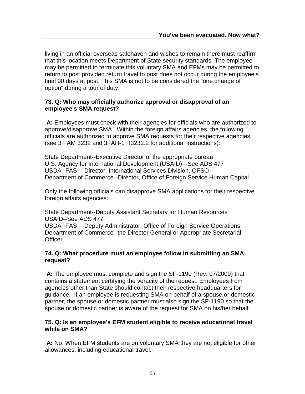living in an official overseas safehaven and wishes to remain there must reaffirm that this location meets Department of State security standards. The employee may be permitted to terminate this voluntary SMA and EFMs may be permitted to return to post provided return travel to post does not occur during the employee's final 90 days at post. This SMA is not to be considered the "one change of option" during a tour of duty.

#### **73. Q: Who may officially authorize approval or disapproval of an employee's SMA request?**

**A:** Employees must check with their agencies for officials who are authorized to approve/disapprove SMA. Within the foreign affairs agencies, the following officials are authorized to approve SMA requests for their respective agencies (see 3 FAM 3232 and 3FAH-1 H3232.2 for additional instructions):

State Department--Executive Director of the appropriate bureau U.S. Agency for International Development (USAID) --See ADS 477 USDA--FAS -- Director, International Services Division, OFSO Department of Commerce--Director, Office of Foreign Service Human Capital

Only the following officials can disapprove SMA applications for their respective foreign affairs agencies:

State Department--Deputy Assistant Secretary for Human Resources USAID--See ADS 477

USDA--FAS -- Deputy Administrator, Office of Foreign Service Operations Department of Commerce--the Director General or Appropriate Secretarial Officer.

#### **74. Q: What procedure must an employee follow in submitting an SMA request?**

**A:** The employee must complete and sign the SF-1190 (Rev. 07/2009) that contains a statement certifying the veracity of the request. Employees from agencies other than State should contact their respective headquarters for guidance. If an employee is requesting SMA on behalf of a spouse or domestic partner, the spouse or domestic partner must also sign the SF-1190 so that the spouse or domestic partner is aware of the request for SMA on his/her behalf.

#### **75. Q: Is an employee's EFM student eligible to receive educational travel while on SMA?**

**A:** No. When EFM students are on voluntary SMA they are not eligible for other allowances, including educational travel.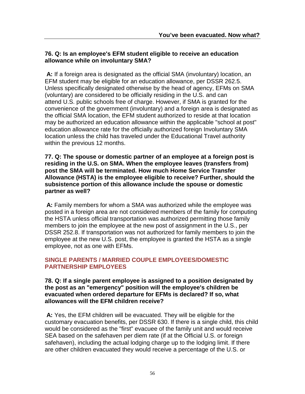#### **76. Q: Is an employee's EFM student eligible to receive an education allowance while on involuntary SMA?**

**A:** If a foreign area is designated as the official SMA (involuntary) location, an EFM student may be eligible for an education allowance, per DSSR 262.5. Unless specifically designated otherwise by the head of agency, EFMs on SMA (voluntary) are considered to be officially residing in the U.S. and can attend U.S. public schools free of charge. However, if SMA is granted for the convenience of the government (involuntary) and a foreign area is designated as the official SMA location, the EFM student authorized to reside at that location may be authorized an education allowance within the applicable "school at post" education allowance rate for the officially authorized foreign Involuntary SMA location unless the child has traveled under the Educational Travel authority within the previous 12 months.

**77. Q: The spouse or domestic partner of an employee at a foreign post is residing in the U.S. on SMA. When the employee leaves (transfers from) post the SMA will be terminated. How much Home Service Transfer Allowance (HSTA) is the employee eligible to receive? Further, should the subsistence portion of this allowance include the spouse or domestic partner as well?**

**A:** Family members for whom a SMA was authorized while the employee was posted in a foreign area are not considered members of the family for computing the HSTA unless official transportation was authorized permitting those family members to join the employee at the new post of assignment in the U.S., per DSSR 252.8. If transportation was not authorized for family members to join the employee at the new U.S. post, the employee is granted the HSTA as a single employee, not as one with EFMs.

### **SINGLE PARENTS / MARRIED COUPLE EMPLOYEES/DOMESTIC PARTNERSHIP EMPLOYEES**

**78. Q: If a single parent employee is assigned to a position designated by the post as an "emergency" position will the employee's children be evacuated when ordered departure for EFMs is declared? If so, what allowances will the EFM children receive?**

**A:** Yes, the EFM children will be evacuated. They will be eligible for the customary evacuation benefits, per DSSR 630. If there is a single child, this child would be considered as the "first" evacuee of the family unit and would receive SEA based on the safehaven per diem rate (if at the Official U.S. or foreign safehaven), including the actual lodging charge up to the lodging limit. If there are other children evacuated they would receive a percentage of the U.S. or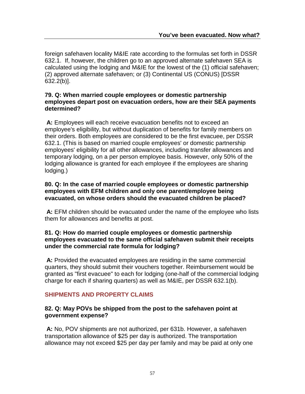foreign safehaven locality M&IE rate according to the formulas set forth in DSSR 632.1. If, however, the children go to an approved alternate safehaven SEA is calculated using the lodging and M&IE for the lowest of the (1) official safehaven; (2) approved alternate safehaven; or (3) Continental US (CONUS) [DSSR 632.2(b)].

#### **79. Q: When married couple employees or domestic partnership employees depart post on evacuation orders, how are their SEA payments determined?**

**A:** Employees will each receive evacuation benefits not to exceed an employee's eligibility, but without duplication of benefits for family members on their orders. Both employees are considered to be the first evacuee, per DSSR 632.1. (This is based on married couple employees' or domestic partnership employees' eligibility for all other allowances, including transfer allowances and temporary lodging, on a per person employee basis. However, only 50% of the lodging allowance is granted for each employee if the employees are sharing lodging.)

#### **80. Q: In the case of married couple employees or domestic partnership employees with EFM children and only one parent/employee being evacuated, on whose orders should the evacuated children be placed?**

**A:** EFM children should be evacuated under the name of the employee who lists them for allowances and benefits at post.

#### **81. Q: How do married couple employees or domestic partnership employees evacuated to the same official safehaven submit their receipts under the commercial rate formula for lodging?**

**A:** Provided the evacuated employees are residing in the same commercial quarters, they should submit their vouchers together. Reimbursement would be granted as "first evacuee" to each for lodging (one-half of the commercial lodging charge for each if sharing quarters) as well as M&IE, per DSSR 632.1(b).

#### **SHIPMENTS AND PROPERTY CLAIMS**

#### **82. Q: May POVs be shipped from the post to the safehaven point at government expense?**

**A:** No, POV shipments are not authorized, per 631b. However, a safehaven transportation allowance of \$25 per day is authorized. The transportation allowance may not exceed \$25 per day per family and may be paid at only one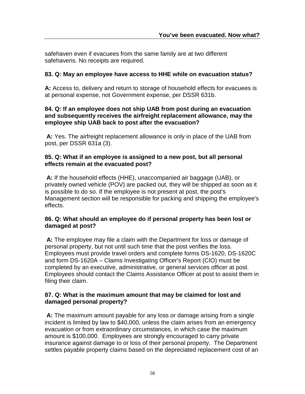safehaven even if evacuees from the same family are at two different safehavens. No receipts are required.

#### **83. Q: May an employee have access to HHE while on evacuation status?**

**A:** Access to, delivery and return to storage of household effects for evacuees is at personal expense, not Government expense, per DSSR 631b.

#### **84. Q: If an employee does not ship UAB from post during an evacuation and subsequently receives the airfreight replacement allowance, may the employee ship UAB back to post after the evacuation?**

**A:** Yes. The airfreight replacement allowance is only in place of the UAB from post, per DSSR 631a (3).

#### **85. Q: What if an employee is assigned to a new post, but all personal effects remain at the evacuated post?**

**A:** If the household effects (HHE), unaccompanied air baggage (UAB), or privately owned vehicle (POV) are packed out, they will be shipped as soon as it is possible to do so. If the employee is not present at post, the post's Management section will be responsible for packing and shipping the employee's effects.

#### **86. Q: What should an employee do if personal property has been lost or damaged at post?**

**A:** The employee may file a claim with the Department for loss or damage of personal property, but not until such time that the post verifies the loss. Employees must provide travel orders and complete forms DS-1620, DS-1620C and form DS-1620A – Claims Investigating Officer's Report (CIO) must be completed by an executive, administrative, or general services officer at post. Employees should contact the Claims Assistance Officer at post to assist them in filing their claim.

#### **87. Q: What is the maximum amount that may be claimed for lost and damaged personal property?**

**A:** The maximum amount payable for any loss or damage arising from a single incident is limited by law to \$40,000, unless the claim arises from an emergency evacuation or from extraordinary circumstances, in which case the maximum amount is \$100,000. Employees are strongly encouraged to carry private insurance against damage to or loss of their personal property. The Department settles payable property claims based on the depreciated replacement cost of an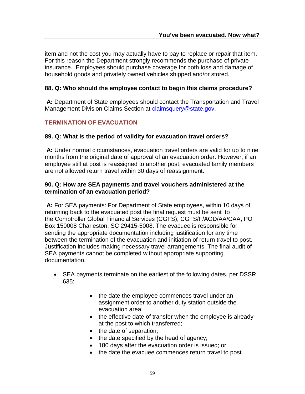item and not the cost you may actually have to pay to replace or repair that item. For this reason the Department strongly recommends the purchase of private insurance. Employees should purchase coverage for both loss and damage of household goods and privately owned vehicles shipped and/or stored.

#### **88. Q: Who should the employee contact to begin this claims procedure?**

**A:** Department of State employees should contact the Transportation and Travel Management Division Claims Section at claimsquery@state.gov.

#### **TERMINATION OF EVACUATION**

#### **89. Q: What is the period of validity for evacuation travel orders?**

**A:** Under normal circumstances, evacuation travel orders are valid for up to nine months from the original date of approval of an evacuation order. However, if an employee still at post is reassigned to another post, evacuated family members are not allowed return travel within 30 days of reassignment.

#### **90. Q: How are SEA payments and travel vouchers administered at the termination of an evacuation period?**

**A:** For SEA payments: For Department of State employees, within 10 days of returning back to the evacuated post the final request must be sent to the Comptroller Global Financial Services (CGFS), CGFS/F/AOD/AA/CAA, PO Box 150008 Charleston, SC 29415-5008. The evacuee is responsible for sending the appropriate documentation including justification for any time between the termination of the evacuation and initiation of return travel to post. Justification includes making necessary travel arrangements. The final audit of SEA payments cannot be completed without appropriate supporting documentation.

- SEA payments terminate on the earliest of the following dates, per DSSR 635:
	- the date the employee commences travel under an assignment order to another duty station outside the evacuation area;
	- the effective date of transfer when the employee is already at the post to which transferred;
	- the date of separation;
	- the date specified by the head of agency;
	- 180 days after the evacuation order is issued; or
	- the date the evacuee commences return travel to post.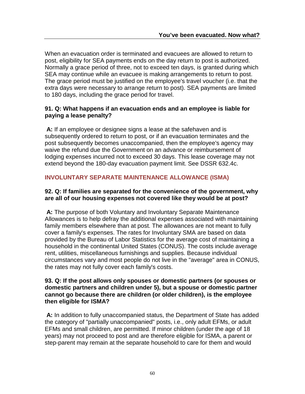When an evacuation order is terminated and evacuees are allowed to return to post, eligibility for SEA payments ends on the day return to post is authorized. Normally a grace period of three, not to exceed ten days, is granted during which SEA may continue while an evacuee is making arrangements to return to post. The grace period must be justified on the employee's travel voucher (i.e. that the extra days were necessary to arrange return to post). SEA payments are limited to 180 days, including the grace period for travel.

#### **91. Q: What happens if an evacuation ends and an employee is liable for paying a lease penalty?**

**A:** If an employee or designee signs a lease at the safehaven and is subsequently ordered to return to post, or if an evacuation terminates and the post subsequently becomes unaccompanied, then the employee's agency may waive the refund due the Government on an advance or reimbursement of lodging expenses incurred not to exceed 30 days. This lease coverage may not extend beyond the 180-day evacuation payment limit. See DSSR 632.4c.

### **INVOLUNTARY SEPARATE MAINTENANCE ALLOWANCE (ISMA)**

#### **92. Q: If families are separated for the convenience of the government, why are all of our housing expenses not covered like they would be at post?**

**A:** The purpose of both Voluntary and Involuntary Separate Maintenance Allowances is to help defray the additional expenses associated with maintaining family members elsewhere than at post. The allowances are not meant to fully cover a family's expenses. The rates for Involuntary SMA are based on data provided by the Bureau of Labor Statistics for the average cost of maintaining a household in the continental United States (CONUS). The costs include average rent, utilities, miscellaneous furnishings and supplies. Because individual circumstances vary and most people do not live in the "average" area in CONUS, the rates may not fully cover each family's costs.

#### **93. Q: If the post allows only spouses or domestic partners (or spouses or domestic partners and children under 5), but a spouse or domestic partner cannot go because there are children (or older children), is the employee then eligible for ISMA?**

**A:** In addition to fully unaccompanied status, the Department of State has added the category of "partially unaccompanied" posts, i.e., only adult EFMs, or adult EFMs and small children, are permitted. If minor children (under the age of 18 years) may not proceed to post and are therefore eligible for ISMA, a parent or step-parent may remain at the separate household to care for them and would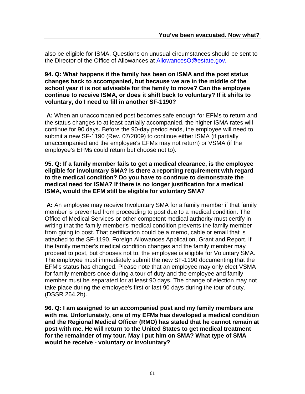also be eligible for ISMA. Questions on unusual circumstances should be sent to the Director of the Office of Allowances at AllowancesO@estate.gov.

#### **94. Q: What happens if the family has been on ISMA and the post status changes back to accompanied, but because we are in the middle of the school year it is not advisable for the family to move? Can the employee continue to receive ISMA, or does it shift back to voluntary? If it shifts to voluntary, do I need to fill in another SF-1190?**

**A:** When an unaccompanied post becomes safe enough for EFMs to return and the status changes to at least partially accompanied, the higher ISMA rates will continue for 90 days. Before the 90-day period ends, the employee will need to submit a new SF-1190 (Rev. 07/2009) to continue either ISMA (if partially unaccompanied and the employee's EFMs may not return) or VSMA (if the employee's EFMs could return but choose not to).

#### **95. Q: If a family member fails to get a medical clearance, is the employee eligible for involuntary SMA? Is there a reporting requirement with regard to the medical condition? Do you have to continue to demonstrate the medical need for ISMA? If there is no longer justification for a medical ISMA, would the EFM still be eligible for voluntary SMA?**

**A:** An employee may receive Involuntary SMA for a family member if that family member is prevented from proceeding to post due to a medical condition. The Office of Medical Services or other competent medical authority must certify in writing that the family member's medical condition prevents the family member from going to post. That certification could be a memo, cable or email that is attached to the SF-1190, Foreign Allowances Application, Grant and Report. If the family member's medical condition changes and the family member may proceed to post, but chooses not to, the employee is eligible for Voluntary SMA. The employee must immediately submit the new SF-1190 documenting that the EFM's status has changed. Please note that an employee may only elect VSMA for family members once during a tour of duty and the employee and family member must be separated for at least 90 days. The change of election may not take place during the employee's first or last 90 days during the tour of duty. (DSSR 264.2b).

**96. Q: I am assigned to an accompanied post and my family members are with me. Unfortunately, one of my EFMs has developed a medical condition and the Regional Medical Officer (RMO) has stated that he cannot remain at post with me. He will return to the United States to get medical treatment for the remainder of my tour. May I put him on SMA? What type of SMA would he receive - voluntary or involuntary?**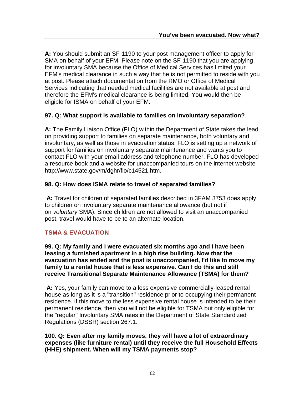**A:** You should submit an SF-1190 to your post management officer to apply for SMA on behalf of your EFM. Please note on the SF-1190 that you are applying for involuntary SMA because the Office of Medical Services has limited your EFM's medical clearance in such a way that he is not permitted to reside with you at post. Please attach documentation from the RMO or Office of Medical Services indicating that needed medical facilities are not available at post and therefore the EFM's medical clearance is being limited. You would then be eligible for ISMA on behalf of your EFM.

#### **97. Q: What support is available to families on involuntary separation?**

**A:** The Family Liaison Office (FLO) within the Department of State takes the lead on providing support to families on separate maintenance, both voluntary and involuntary, as well as those in evacuation status. FLO is setting up a network of support for families on involuntary separate maintenance and wants you to contact FLO with your email address and telephone number. FLO has developed a resource book and a website for unaccompanied tours on the internet website http://www.state.gov/m/dghr/flo/c14521.htm.

#### **98. Q: How does ISMA relate to travel of separated families?**

**A:** Travel for children of separated families described in 3FAM 3753 does apply to children on involuntary separate maintenance allowance (but not if on *voluntary* SMA). Since children are not allowed to visit an unaccompanied post, travel would have to be to an alternate location.

#### **TSMA & EVACUATION**

**99. Q: My family and I were evacuated six months ago and I have been leasing a furnished apartment in a high rise building. Now that the evacuation has ended and the post is unaccompanied, I'd like to move my family to a rental house that is less expensive. Can I do this and still receive Transitional Separate Maintenance Allowance (TSMA) for them?**

**A:** Yes, your family can move to a less expensive commercially-leased rental house as long as it is a "transition" residence prior to occupying their permanent residence. If this move to the less expensive rental house is intended to be their permanent residence, then you will not be eligible for TSMA but only eligible for the "regular" Involuntary SMA rates in the Department of State Standardized Regulations (DSSR) section 267.1.

**100. Q: Even after my family moves, they will have a lot of extraordinary expenses (like furniture rental) until they receive the full Household Effects (HHE) shipment. When will my TSMA payments stop?**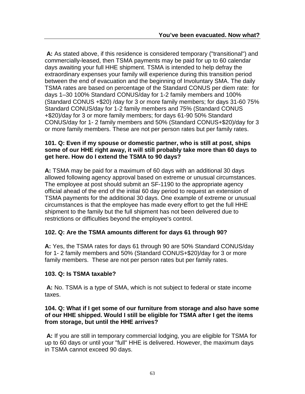**A:** As stated above, if this residence is considered temporary ("transitional") and commercially-leased, then TSMA payments may be paid for up to 60 calendar days awaiting your full HHE shipment. TSMA is intended to help defray the extraordinary expenses your family will experience during this transition period between the end of evacuation and the beginning of Involuntary SMA. The daily TSMA rates are based on percentage of the Standard CONUS per diem rate: for days 1–30 100% Standard CONUS/day for 1-2 family members and 100% (Standard CONUS +\$20) /day for 3 or more family members; for days 31-60 75% Standard CONUS/day for 1-2 family members and 75% (Standard CONUS +\$20)/day for 3 or more family members; for days 61-90 50% Standard CONUS/day for 1- 2 family members and 50% (Standard CONUS+\$20)/day for 3 or more family members. These are not per person rates but per family rates.

#### **101. Q: Even if my spouse or domestic partner, who is still at post, ships some of our HHE right away, it will still probably take more than 60 days to get here. How do I extend the TSMA to 90 days?**

**A:** TSMA may be paid for a maximum of 60 days with an additional 30 days allowed following agency approval based on extreme or unusual circumstances. The employee at post should submit an SF-1190 to the appropriate agency official ahead of the end of the initial 60 day period to request an extension of TSMA payments for the additional 30 days. One example of extreme or unusual circumstances is that the employee has made every effort to get the full HHE shipment to the family but the full shipment has not been delivered due to restrictions or difficulties beyond the employee's control.

#### **102. Q: Are the TSMA amounts different for days 61 through 90?**

**A:** Yes, the TSMA rates for days 61 through 90 are 50% Standard CONUS/day for 1- 2 family members and 50% (Standard CONUS+\$20)/day for 3 or more family members. These are not per person rates but per family rates.

#### **103. Q: Is TSMA taxable?**

**A:** No. TSMA is a type of SMA, which is not subject to federal or state income taxes.

#### **104. Q: What if I get some of our furniture from storage and also have some of our HHE shipped. Would I still be eligible for TSMA after I get the items from storage, but until the HHE arrives?**

**A:** If you are still in temporary commercial lodging, you are eligible for TSMA for up to 60 days or until your "full" HHE is delivered. However, the maximum days in TSMA cannot exceed 90 days.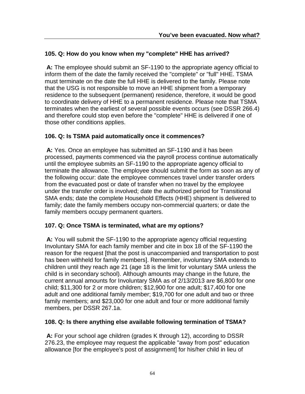#### **105. Q: How do you know when my "complete" HHE has arrived?**

**A:** The employee should submit an SF-1190 to the appropriate agency official to inform them of the date the family received the "complete" or "full" HHE. TSMA must terminate on the date the full HHE is delivered to the family. Please note that the USG is not responsible to move an HHE shipment from a temporary residence to the subsequent (permanent) residence, therefore, it would be good to coordinate delivery of HHE to a permanent residence. Please note that TSMA terminates when the earliest of several possible events occurs (see DSSR 266.4) and therefore could stop even before the "complete" HHE is delivered if one of those other conditions applies.

#### **106. Q: Is TSMA paid automatically once it commences?**

**A:** Yes. Once an employee has submitted an SF-1190 and it has been processed, payments commenced via the payroll process continue automatically until the employee submits an SF-1190 to the appropriate agency official to terminate the allowance. The employee should submit the form as soon as any of the following occur: date the employee commences travel under transfer orders from the evacuated post or date of transfer when no travel by the employee under the transfer order is involved; date the authorized period for Transitional SMA ends; date the complete Household Effects (HHE) shipment is delivered to family; date the family members occupy non-commercial quarters; or date the family members occupy permanent quarters.

#### **107. Q: Once TSMA is terminated, what are my options?**

**A:** You will submit the SF-1190 to the appropriate agency official requesting Involuntary SMA for each family member and cite in box 18 of the SF-1190 the reason for the request [that the post is unaccompanied and transportation to post has been withheld for family members]. Remember, involuntary SMA extends to children until they reach age 21 (age 18 is the limit for voluntary SMA unless the child is in secondary school). Although amounts may change in the future, the current annual amounts for Involuntary SMA as of 2/13/2013 are \$6,800 for one child; \$11,300 for 2 or more children; \$12,900 for one adult; \$17,400 for one adult and one additional family member; \$19,700 for one adult and two or three family members; and \$23,000 for one adult and four or more additional family members, per DSSR 267.1a.

#### **108. Q: Is there anything else available following termination of TSMA?**

**A:** For your school age children (grades K through 12), according to DSSR 276.23, the employee may request the applicable "away from post" education allowance [for the employee's post of assignment] for his/her child in lieu of